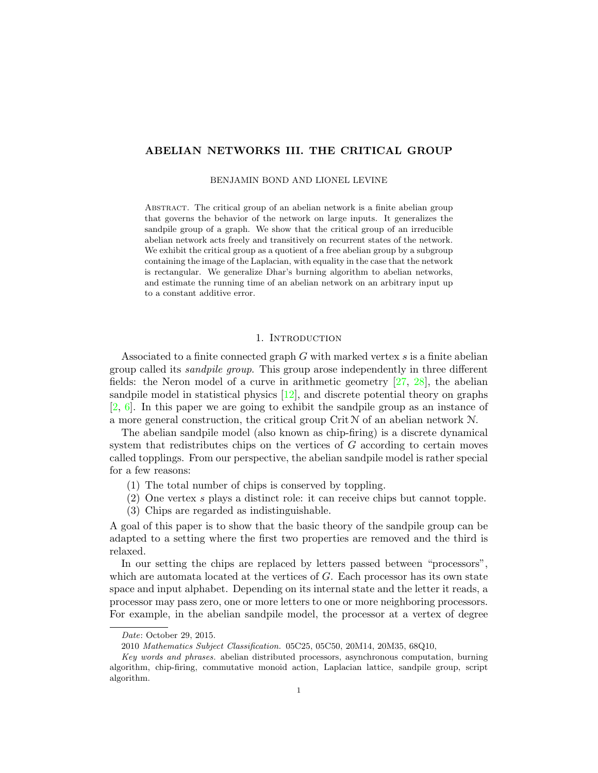# ABELIAN NETWORKS III. THE CRITICAL GROUP

BENJAMIN BOND AND LIONEL LEVINE

Abstract. The critical group of an abelian network is a finite abelian group that governs the behavior of the network on large inputs. It generalizes the sandpile group of a graph. We show that the critical group of an irreducible abelian network acts freely and transitively on recurrent states of the network. We exhibit the critical group as a quotient of a free abelian group by a subgroup containing the image of the Laplacian, with equality in the case that the network is rectangular. We generalize Dhar's burning algorithm to abelian networks, and estimate the running time of an abelian network on an arbitrary input up to a constant additive error.

# 1. INTRODUCTION

Associated to a finite connected graph G with marked vertex s is a finite abelian group called its sandpile group. This group arose independently in three different fields: the Neron model of a curve in arithmetic geometry [\[27,](#page-25-0) [28\]](#page-25-1), the abelian sandpile model in statistical physics  $[12]$ , and discrete potential theory on graphs [\[2,](#page-24-0) [6\]](#page-24-1). In this paper we are going to exhibit the sandpile group as an instance of a more general construction, the critical group  $\mathrm{Crit} \mathcal{N}$  of an abelian network  $\mathcal{N}$ .

The abelian sandpile model (also known as chip-firing) is a discrete dynamical system that redistributes chips on the vertices of G according to certain moves called topplings. From our perspective, the abelian sandpile model is rather special for a few reasons:

- (1) The total number of chips is conserved by toppling.
- (2) One vertex s plays a distinct role: it can receive chips but cannot topple.
- (3) Chips are regarded as indistinguishable.

A goal of this paper is to show that the basic theory of the sandpile group can be adapted to a setting where the first two properties are removed and the third is relaxed.

In our setting the chips are replaced by letters passed between "processors", which are automata located at the vertices of G. Each processor has its own state space and input alphabet. Depending on its internal state and the letter it reads, a processor may pass zero, one or more letters to one or more neighboring processors. For example, in the abelian sandpile model, the processor at a vertex of degree

Date: October 29, 2015.

<sup>2010</sup> Mathematics Subject Classification. 05C25, 05C50, 20M14, 20M35, 68Q10,

Key words and phrases. abelian distributed processors, asynchronous computation, burning algorithm, chip-firing, commutative monoid action, Laplacian lattice, sandpile group, script algorithm.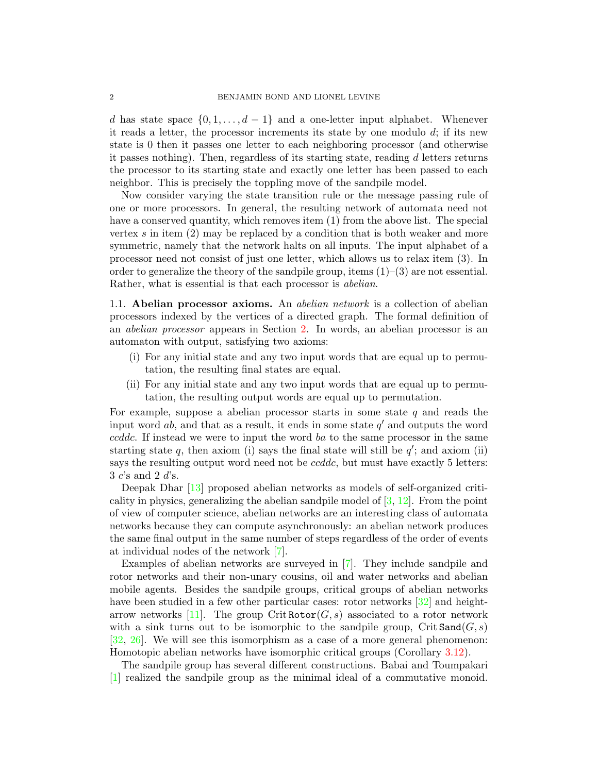d has state space  $\{0, 1, \ldots, d-1\}$  and a one-letter input alphabet. Whenever it reads a letter, the processor increments its state by one modulo  $d_i$ ; if its new state is 0 then it passes one letter to each neighboring processor (and otherwise it passes nothing). Then, regardless of its starting state, reading d letters returns the processor to its starting state and exactly one letter has been passed to each neighbor. This is precisely the toppling move of the sandpile model.

Now consider varying the state transition rule or the message passing rule of one or more processors. In general, the resulting network of automata need not have a conserved quantity, which removes item (1) from the above list. The special vertex  $s$  in item  $(2)$  may be replaced by a condition that is both weaker and more symmetric, namely that the network halts on all inputs. The input alphabet of a processor need not consist of just one letter, which allows us to relax item (3). In order to generalize the theory of the sandpile group, items  $(1)$ – $(3)$  are not essential. Rather, what is essential is that each processor is abelian.

<span id="page-1-0"></span>1.1. **Abelian processor axioms.** An *abelian network* is a collection of abelian processors indexed by the vertices of a directed graph. The formal definition of an abelian processor appears in Section [2.](#page-3-0) In words, an abelian processor is an automaton with output, satisfying two axioms:

- (i) For any initial state and any two input words that are equal up to permutation, the resulting final states are equal.
- (ii) For any initial state and any two input words that are equal up to permutation, the resulting output words are equal up to permutation.

For example, suppose a abelian processor starts in some state  $q$  and reads the input word  $ab$ , and that as a result, it ends in some state  $q'$  and outputs the word ccddc. If instead we were to input the word ba to the same processor in the same starting state  $q$ , then axiom (i) says the final state will still be  $q'$ ; and axiom (ii) says the resulting output word need not be *ccddc*, but must have exactly 5 letters:  $3 c$ 's and  $2 d$ 's.

Deepak Dhar [\[13\]](#page-25-3) proposed abelian networks as models of self-organized criticality in physics, generalizing the abelian sandpile model of [\[3,](#page-24-2) [12\]](#page-25-2). From the point of view of computer science, abelian networks are an interesting class of automata networks because they can compute asynchronously: an abelian network produces the same final output in the same number of steps regardless of the order of events at individual nodes of the network [\[7\]](#page-24-3).

Examples of abelian networks are surveyed in [\[7\]](#page-24-3). They include sandpile and rotor networks and their non-unary cousins, oil and water networks and abelian mobile agents. Besides the sandpile groups, critical groups of abelian networks have been studied in a few other particular cases: rotor networks  $[32]$  and height-arrow networks [\[11\]](#page-25-5). The group Crit Rotor $(G, s)$  associated to a rotor network with a sink turns out to be isomorphic to the sandpile group, Crit  $\text{Sand}(G, s)$ [\[32,](#page-25-4) [26\]](#page-25-6). We will see this isomorphism as a case of a more general phenomenon: Homotopic abelian networks have isomorphic critical groups (Corollary [3.12\)](#page-14-0).

The sandpile group has several different constructions. Babai and Toumpakari [\[1\]](#page-24-4) realized the sandpile group as the minimal ideal of a commutative monoid.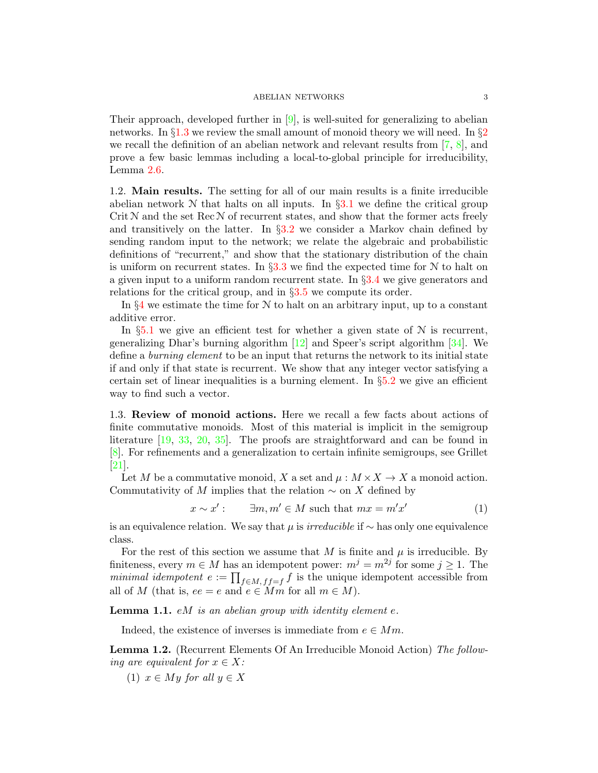Their approach, developed further in  $[9]$ , is well-suited for generalizing to abelian networks. In  $\S 1.3$  $\S 1.3$  we review the small amount of monoid theory we will need. In  $\S 2$  $\S 2$ we recall the definition of an abelian network and relevant results from  $[7, 8]$  $[7, 8]$ , and prove a few basic lemmas including a local-to-global principle for irreducibility, Lemma [2.6.](#page-8-0)

1.2. Main results. The setting for all of our main results is a finite irreducible abelian network  $N$  that halts on all inputs. In  $\S 3.1$  $\S 3.1$  we define the critical group Crit  $N$  and the set Rec  $N$  of recurrent states, and show that the former acts freely and transitively on the latter. In  $\S 3.2$  $\S 3.2$  we consider a Markov chain defined by sending random input to the network; we relate the algebraic and probabilistic definitions of "recurrent," and show that the stationary distribution of the chain is uniform on recurrent states. In  $\S 3.3$  $\S 3.3$  we find the expected time for N to halt on a given input to a uniform random recurrent state. In §[3.4](#page-14-1) we give generators and relations for the critical group, and in §[3.5](#page-16-0) we compute its order.

In  $\S4$  $\S4$  we estimate the time for N to halt on an arbitrary input, up to a constant additive error.

In  $\S5.1$  $\S5.1$  we give an efficient test for whether a given state of  $N$  is recurrent, generalizing Dhar's burning algorithm [\[12\]](#page-25-2) and Speer's script algorithm [\[34\]](#page-25-7). We define a burning element to be an input that returns the network to its initial state if and only if that state is recurrent. We show that any integer vector satisfying a certain set of linear inequalities is a burning element. In  $\S5.2$  $\S5.2$  we give an efficient way to find such a vector.

<span id="page-2-0"></span>1.3. Review of monoid actions. Here we recall a few facts about actions of finite commutative monoids. Most of this material is implicit in the semigroup literature [\[19,](#page-25-8) [33,](#page-25-9) [20,](#page-25-10) [35\]](#page-25-11). The proofs are straightforward and can be found in [\[8\]](#page-24-6). For refinements and a generalization to certain infinite semigroups, see Grillet [\[21\]](#page-25-12).

Let M be a commutative monoid, X a set and  $\mu : M \times X \to X$  a monoid action. Commutativity of M implies that the relation  $\sim$  on X defined by

$$
x \sim x': \qquad \exists m, m' \in M \text{ such that } mx = m'x'
$$
 (1)

is an equivalence relation. We say that  $\mu$  is *irreducible* if  $\sim$  has only one equivalence class.

For the rest of this section we assume that M is finite and  $\mu$  is irreducible. By finiteness, every  $m \in M$  has an idempotent power:  $m^j = m^{2j}$  for some  $j \ge 1$ . The minimal idempotent  $e := \prod_{f \in M, f = f} f$  is the unique idempotent accessible from all of M (that is,  $ee = e$  and  $e \in Mm$  for all  $m \in M$ ).

**Lemma 1.1.**  $e^{i}$  is an abelian group with identity element  $e$ .

Indeed, the existence of inverses is immediate from  $e \in Mm$ .

<span id="page-2-1"></span>Lemma 1.2. (Recurrent Elements Of An Irreducible Monoid Action) The following are equivalent for  $x \in X$ :

(1)  $x \in My$  for all  $y \in X$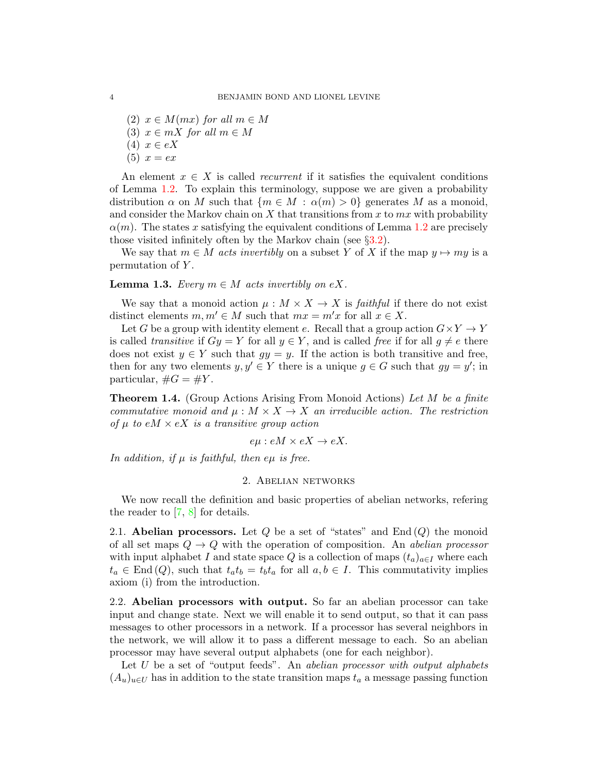(2)  $x \in M(mx)$  for all  $m \in M$ (3)  $x \in mX$  for all  $m \in M$ (4)  $x \in eX$  $(5) x = ex$ 

An element  $x \in X$  is called *recurrent* if it satisfies the equivalent conditions of Lemma [1.2.](#page-2-1) To explain this terminology, suppose we are given a probability distribution  $\alpha$  on M such that  $\{m \in M : \alpha(m) > 0\}$  generates M as a monoid, and consider the Markov chain on  $X$  that transitions from  $x$  to  $mx$  with probability  $\alpha(m)$ . The states x satisfying the equivalent conditions of Lemma [1.2](#page-2-1) are precisely those visited infinitely often by the Markov chain (see §[3.2\)](#page-11-0).

We say that  $m \in M$  acts invertibly on a subset Y of X if the map  $y \mapsto my$  is a permutation of Y .

<span id="page-3-1"></span>**Lemma 1.3.** Every  $m \in M$  acts invertibly on eX.

We say that a monoid action  $\mu : M \times X \to X$  is *faithful* if there do not exist distinct elements  $m, m' \in M$  such that  $mx = m'x$  for all  $x \in X$ .

Let G be a group with identity element e. Recall that a group action  $G \times Y \to Y$ is called transitive if  $Gy = Y$  for all  $y \in Y$ , and is called free if for all  $g \neq e$  there does not exist  $y \in Y$  such that  $gy = y$ . If the action is both transitive and free, then for any two elements  $y, y' \in Y$  there is a unique  $g \in G$  such that  $gy = y'$ ; in particular,  $\#G = \#Y$ .

<span id="page-3-2"></span>**Theorem 1.4.** (Group Actions Arising From Monoid Actions) Let M be a finite commutative monoid and  $\mu : M \times X \to X$  an irreducible action. The restriction of  $\mu$  to eM  $\times$  eX is a transitive group action

$$
e\mu : eM \times eX \to eX.
$$

<span id="page-3-0"></span>In addition, if  $\mu$  is faithful, then e $\mu$  is free.

## 2. Abelian networks

We now recall the definition and basic properties of abelian networks, refering the reader to [\[7,](#page-24-3) [8\]](#page-24-6) for details.

2.1. Abelian processors. Let  $Q$  be a set of "states" and  $\text{End}(Q)$  the monoid of all set maps  $Q \to Q$  with the operation of composition. An abelian processor with input alphabet I and state space Q is a collection of maps  $(t_a)_{a \in I}$  where each  $t_a \in \text{End}(Q)$ , such that  $t_a t_b = t_b t_a$  for all  $a, b \in I$ . This commutativity implies axiom (i) from the introduction.

2.2. Abelian processors with output. So far an abelian processor can take input and change state. Next we will enable it to send output, so that it can pass messages to other processors in a network. If a processor has several neighbors in the network, we will allow it to pass a different message to each. So an abelian processor may have several output alphabets (one for each neighbor).

Let  $U$  be a set of "output feeds". An abelian processor with output alphabets  $(A_u)_{u\in U}$  has in addition to the state transition maps  $t_a$  a message passing function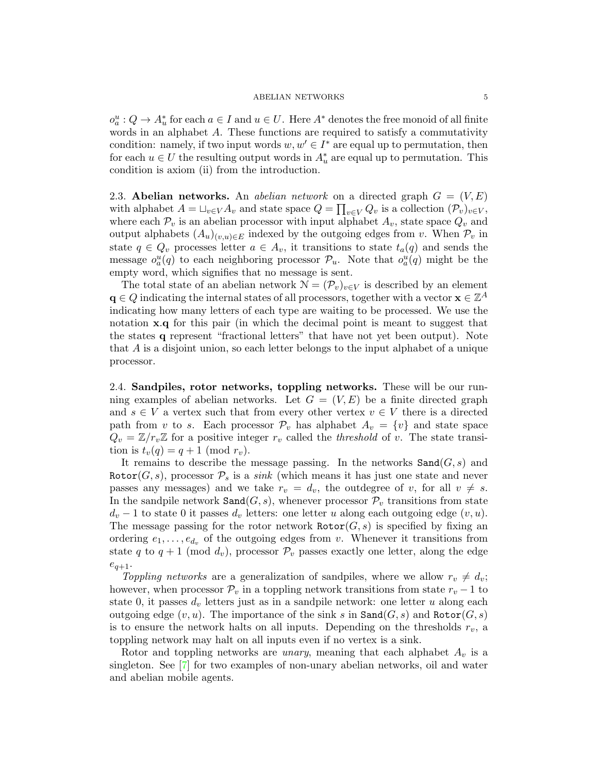$o_a^u: Q \to A_u^*$  for each  $a \in I$  and  $u \in U$ . Here  $A^*$  denotes the free monoid of all finite words in an alphabet A. These functions are required to satisfy a commutativity condition: namely, if two input words  $w, w' \in I^*$  are equal up to permutation, then for each  $u \in U$  the resulting output words in  $A_u^*$  are equal up to permutation. This condition is axiom (ii) from the introduction.

2.3. Abelian networks. An abelian network on a directed graph  $G = (V, E)$ with alphabet  $A = \sqcup_{v \in V} A_v$  and state space  $Q = \prod_{v \in V} Q_v$  is a collection  $(\mathcal{P}_v)_{v \in V}$ , where each  $\mathcal{P}_v$  is an abelian processor with input alphabet  $A_v$ , state space  $Q_v$  and output alphabets  $(A_u)_{(v,u)\in E}$  indexed by the outgoing edges from v. When  $\mathcal{P}_v$  in state  $q \in Q_v$  processes letter  $a \in A_v$ , it transitions to state  $t_a(q)$  and sends the message  $o_a^u(q)$  to each neighboring processor  $\mathcal{P}_u$ . Note that  $o_a^u(q)$  might be the empty word, which signifies that no message is sent.

The total state of an abelian network  $\mathcal{N} = (\mathcal{P}_v)_{v \in V}$  is described by an element  $\mathbf{q} \in Q$  indicating the internal states of all processors, together with a vector  $\mathbf{x} \in \mathbb{Z}^A$ indicating how many letters of each type are waiting to be processed. We use the notation **x**.q for this pair (in which the decimal point is meant to suggest that the states q represent "fractional letters" that have not yet been output). Note that A is a disjoint union, so each letter belongs to the input alphabet of a unique processor.

<span id="page-4-0"></span>2.4. Sandpiles, rotor networks, toppling networks. These will be our running examples of abelian networks. Let  $G = (V, E)$  be a finite directed graph and  $s \in V$  a vertex such that from every other vertex  $v \in V$  there is a directed path from v to s. Each processor  $\mathcal{P}_v$  has alphabet  $A_v = \{v\}$  and state space  $Q_v = \mathbb{Z}/r_v\mathbb{Z}$  for a positive integer  $r_v$  called the *threshold* of v. The state transition is  $t_v(q) = q + 1 \pmod{r_v}$ .

It remains to describe the message passing. In the networks  $\texttt{Sand}(G, s)$  and Rotor( $G, s$ ), processor  $\mathcal{P}_s$  is a *sink* (which means it has just one state and never passes any messages) and we take  $r_v = d_v$ , the outdegree of v, for all  $v \neq s$ . In the sandpile network  $\texttt{Sand}(G, s)$ , whenever processor  $\mathcal{P}_v$  transitions from state  $d_v - 1$  to state 0 it passes  $d_v$  letters: one letter u along each outgoing edge  $(v, u)$ . The message passing for the rotor network  $\text{Rot}(G, s)$  is specified by fixing an ordering  $e_1, \ldots, e_{d_v}$  of the outgoing edges from v. Whenever it transitions from state q to  $q + 1 \pmod{d_v}$ , processor  $\mathcal{P}_v$  passes exactly one letter, along the edge  $e_{q+1}$ .

Toppling networks are a generalization of sandpiles, where we allow  $r_v \neq d_v$ ; however, when processor  $\mathcal{P}_v$  in a toppling network transitions from state  $r_v - 1$  to state 0, it passes  $d_v$  letters just as in a sandpile network: one letter u along each outgoing edge  $(v, u)$ . The importance of the sink s in  $\texttt{Sand}(G, s)$  and  $\texttt{Rotor}(G, s)$ is to ensure the network halts on all inputs. Depending on the thresholds  $r_v$ , a toppling network may halt on all inputs even if no vertex is a sink.

Rotor and toppling networks are *unary*, meaning that each alphabet  $A_v$  is a singleton. See [\[7\]](#page-24-3) for two examples of non-unary abelian networks, oil and water and abelian mobile agents.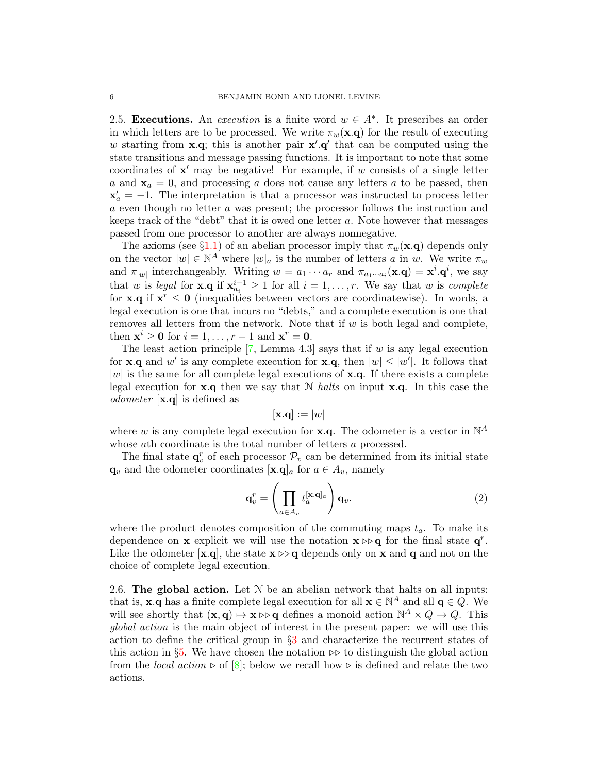2.5. Executions. An *execution* is a finite word  $w \in A^*$ . It prescribes an order in which letters are to be processed. We write  $\pi_w(\mathbf{x}.q)$  for the result of executing w starting from  $\mathbf{x} \cdot \mathbf{q}$ ; this is another pair  $\mathbf{x}' \cdot \mathbf{q}'$  that can be computed using the state transitions and message passing functions. It is important to note that some coordinates of  $x'$  may be negative! For example, if w consists of a single letter a and  $x_a = 0$ , and processing a does not cause any letters a to be passed, then  $x'_a = -1$ . The interpretation is that a processor was instructed to process letter a even though no letter a was present; the processor follows the instruction and keeps track of the "debt" that it is owed one letter a. Note however that messages passed from one processor to another are always nonnegative.

The axioms (see §[1.1\)](#page-1-0) of an abelian processor imply that  $\pi_w(\mathbf{x}.q)$  depends only on the vector  $|w| \in \mathbb{N}^A$  where  $|w|_a$  is the number of letters a in w. We write  $\pi_w$ and  $\pi_{|w|}$  interchangeably. Writing  $w = a_1 \cdots a_r$  and  $\pi_{a_1 \cdots a_i}(\mathbf{x}.q) = \mathbf{x}^i \cdot \mathbf{q}^i$ , we say that w is legal for **x**. $q$  if  $\mathbf{x}_{a_i}^{i-1} \geq 1$  for all  $i = 1, \ldots, r$ . We say that w is complete for **x**.q if  $x^r \le 0$  (inequalities between vectors are coordinatewise). In words, a legal execution is one that incurs no "debts," and a complete execution is one that removes all letters from the network. Note that if  $w$  is both legal and complete, then  $\mathbf{x}^i \geq \mathbf{0}$  for  $i = 1, \ldots, r - 1$  and  $\mathbf{x}^r = \mathbf{0}$ .

The least action principle  $[7, \text{Lemma } 4.3]$  says that if w is any legal execution for **x**.q and w' is any complete execution for **x**.q, then  $|w| \leq |w'|$ . It follows that  $|w|$  is the same for all complete legal executions of **x.q.** If there exists a complete legal execution for  $x.q$  then we say that N halts on input  $x.q$ . In this case the odometer [x.q] is defined as

$$
[\mathbf{x}.\mathbf{q}] := |w|
$$

where w is any complete legal execution for **x**.**q**. The odometer is a vector in  $\mathbb{N}^A$ whose ath coordinate is the total number of letters a processed.

The final state  $\mathbf{q}_v^r$  of each processor  $\mathcal{P}_v$  can be determined from its initial state  $\mathbf{q}_v$  and the odometer coordinates  $[\mathbf{x}.q]_a$  for  $a \in A_v$ , namely

<span id="page-5-0"></span>
$$
\mathbf{q}_v^r = \left(\prod_{a \in A_v} t_a^{[\mathbf{x} \cdot \mathbf{q}]_a} \right) \mathbf{q}_v.
$$
 (2)

where the product denotes composition of the commuting maps  $t_a$ . To make its dependence on **x** explicit we will use the notation  $\mathbf{x} \triangleright \mathbf{q}$  for the final state  $\mathbf{q}^r$ . Like the odometer  $[\mathbf{x}.q]$ , the state  $\mathbf{x} \triangleright \mathbf{q}$  depends only on  $\mathbf{x}$  and  $\mathbf{q}$  and not on the choice of complete legal execution.

2.6. The global action. Let  $N$  be an abelian network that halts on all inputs: that is,  $\mathbf{x} \cdot \mathbf{q}$  has a finite complete legal execution for all  $\mathbf{x} \in \mathbb{N}^A$  and all  $\mathbf{q} \in Q$ . We will see shortly that  $(\mathbf{x}, \mathbf{q}) \mapsto \mathbf{x} \triangleright \mathbf{q}$  defines a monoid action  $\mathbb{N}^A \times Q \to Q$ . This global action is the main object of interest in the present paper: we will use this action to define the critical group in §[3](#page-10-1) and characterize the recurrent states of this action in §[5.](#page-19-0) We have chosen the notation  $\triangleright$  to distinguish the global action from the *local action*  $\triangleright$  of  $[8]$ ; below we recall how  $\triangleright$  is defined and relate the two actions.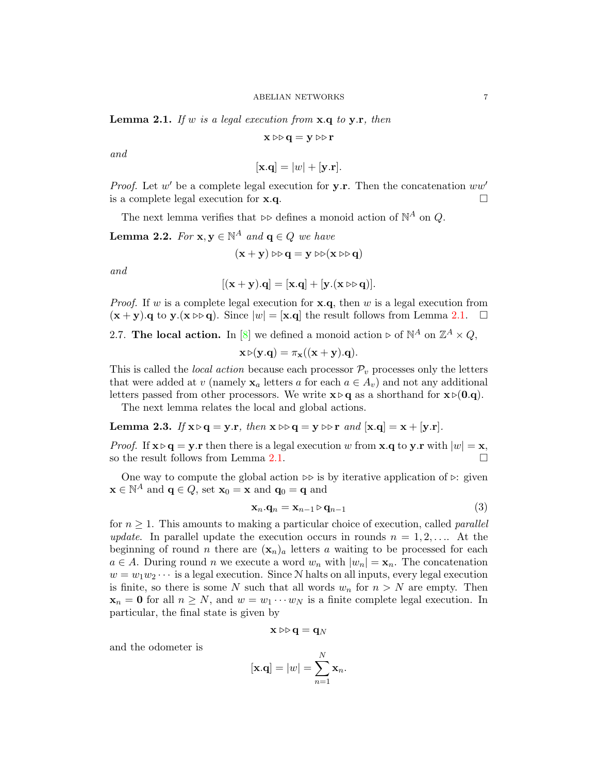<span id="page-6-0"></span>**Lemma 2.1.** If w is a legal execution from  $x.q$  to  $y.r$ , then

$$
x \mathbin\vartriangleright\!\!\triangleright q = y \mathbin\vartriangleright\!\!\triangleright r
$$

and

$$
[\mathbf{x}.\mathbf{q}] = |w| + [\mathbf{y}.\mathbf{r}].
$$

*Proof.* Let  $w'$  be a complete legal execution for  $y.r.$  Then the concatenation  $ww'$ is a complete legal execution for  $\mathbf{x}.\mathbf{q}$ .

The next lemma verifies that  $\triangleright \triangleright$  defines a monoid action of  $\mathbb{N}^A$  on  $Q$ .

<span id="page-6-1"></span>**Lemma 2.2.** For  $\mathbf{x}, \mathbf{y} \in \mathbb{N}^A$  and  $\mathbf{q} \in Q$  we have

$$
(\mathbf{x} + \mathbf{y}) \triangleright \triangleright \mathbf{q} = \mathbf{y} \triangleright \triangleright (\mathbf{x} \triangleright \triangleright \mathbf{q})
$$

and

$$
[(\mathbf{x} + \mathbf{y}).\mathbf{q}] = [\mathbf{x}.\mathbf{q}] + [\mathbf{y}.(\mathbf{x} \triangleright \triangleright \mathbf{q})].
$$

*Proof.* If w is a complete legal execution for  $x.q$ , then w is a legal execution from  $(\mathbf{x} + \mathbf{y})$ .  $\mathbf{q}$  to  $\mathbf{y}$ .  $(\mathbf{x} \triangleright \mathbf{q})$ . Since  $|w| = [\mathbf{x} \cdot \mathbf{q}]$  the result follows from Lemma [2.1.](#page-6-0)  $\Box$ 

2.7. The local action. In [\[8\]](#page-24-6) we defined a monoid action  $\triangleright$  of  $\mathbb{N}^A$  on  $\mathbb{Z}^A \times Q$ ,

$$
\mathbf{x} \triangleright (\mathbf{y}. \mathbf{q}) = \pi_{\mathbf{x}}((\mathbf{x} + \mathbf{y}). \mathbf{q}).
$$

This is called the *local action* because each processor  $\mathcal{P}_v$  processes only the letters that were added at v (namely  $x_a$  letters a for each  $a \in A_v$ ) and not any additional letters passed from other processors. We write  $\mathbf{x} \triangleright \mathbf{q}$  as a shorthand for  $\mathbf{x} \triangleright (0.\mathbf{q})$ .

The next lemma relates the local and global actions.

<span id="page-6-2"></span>Lemma 2.3. If  $x \triangleright q = y.r$ , then  $x \triangleright q = y \triangleright r$  and  $[x.q] = x + [y.r]$ .

*Proof.* If  $\mathbf{x} \triangleright \mathbf{q} = \mathbf{y} \cdot \mathbf{r}$  then there is a legal execution w from  $\mathbf{x} \cdot \mathbf{q}$  to  $\mathbf{y} \cdot \mathbf{r}$  with  $|w| = \mathbf{x}$ , so the result follows from Lemma [2.1.](#page-6-0)

One way to compute the global action  $\triangleright\triangleright$  is by iterative application of  $\triangleright$ : given  $\mathbf{x} \in \mathbb{N}^A$  and  $\mathbf{q} \in Q$ , set  $\mathbf{x}_0 = \mathbf{x}$  and  $\mathbf{q}_0 = \mathbf{q}$  and

$$
\mathbf{x}_n \cdot \mathbf{q}_n = \mathbf{x}_{n-1} \triangleright \mathbf{q}_{n-1} \tag{3}
$$

for  $n \geq 1$ . This amounts to making a particular choice of execution, called *parallel* update. In parallel update the execution occurs in rounds  $n = 1, 2, \ldots$  At the beginning of round n there are  $(\mathbf{x}_n)_a$  letters a waiting to be processed for each  $a \in A$ . During round n we execute a word  $w_n$  with  $|w_n| = \mathbf{x}_n$ . The concatenation  $w = w_1w_2 \cdots$  is a legal execution. Since N halts on all inputs, every legal execution is finite, so there is some N such that all words  $w_n$  for  $n > N$  are empty. Then  $\mathbf{x}_n = \mathbf{0}$  for all  $n \geq N$ , and  $w = w_1 \cdots w_N$  is a finite complete legal execution. In particular, the final state is given by

$$
\mathbf{x} \triangleright\triangleright \mathbf{q} = \mathbf{q}_N
$$

and the odometer is

$$
[\mathbf{x}.\mathbf{q}] = |w| = \sum_{n=1}^{N} \mathbf{x}_n.
$$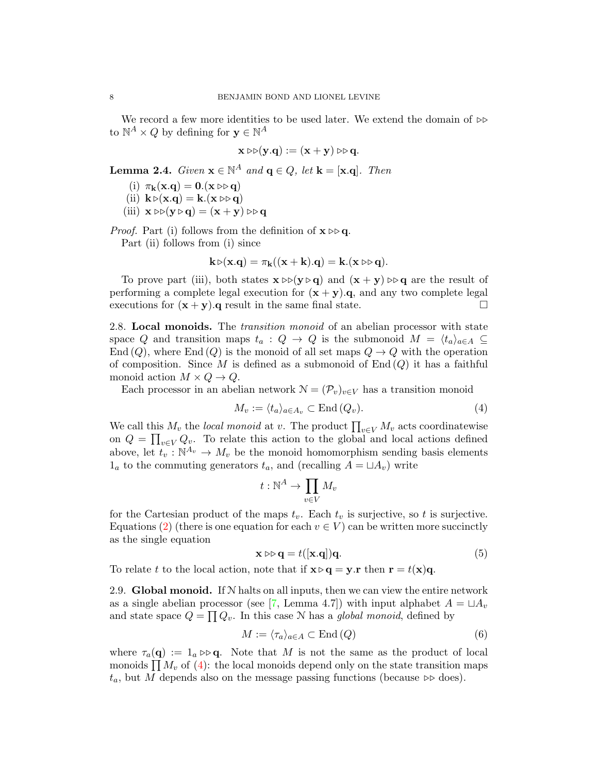We record a few more identities to be used later. We extend the domain of  $\triangleright\triangleright$ to  $\mathbb{N}^A \times Q$  by defining for  $\mathbf{y} \in \mathbb{N}^A$ 

$$
\mathbf{x} \triangleright \triangleright (\mathbf{y}. \mathbf{q}) := (\mathbf{x} + \mathbf{y}) \triangleright \triangleright \mathbf{q}.
$$

<span id="page-7-1"></span>**Lemma 2.4.** Given  $\mathbf{x} \in \mathbb{N}^A$  and  $\mathbf{q} \in Q$ , let  $\mathbf{k} = [\mathbf{x}.\mathbf{q}]$ . Then

- (i)  $\pi_{\mathbf{k}}(\mathbf{x}.\mathbf{q}) = \mathbf{0}.(\mathbf{x} \triangleright \mathbf{q})$
- (ii)  $\mathbf{k} \triangleright (\mathbf{x} \cdot \mathbf{q}) = \mathbf{k}.(\mathbf{x} \triangleright \triangleright \mathbf{q})$
- (iii)  $\mathbf{x} \triangleright \triangleright (\mathbf{y} \triangleright \mathbf{q}) = (\mathbf{x} + \mathbf{y}) \triangleright \triangleright \mathbf{q}$

*Proof.* Part (i) follows from the definition of  $\mathbf{x} \triangleright \mathbf{q}$ .

Part (ii) follows from (i) since

$$
\mathbf{k} \triangleright (\mathbf{x}.\mathbf{q}) = \pi_{\mathbf{k}}((\mathbf{x} + \mathbf{k}).\mathbf{q}) = \mathbf{k}.(\mathbf{x} \triangleright \triangleright \mathbf{q}).
$$

To prove part (iii), both states  $\mathbf{x} \triangleright (\mathbf{y} \triangleright \mathbf{q})$  and  $(\mathbf{x} + \mathbf{y}) \triangleright \mathbf{q}$  are the result of performing a complete legal execution for  $(x + y)$ .  $q$ , and any two complete legal executions for  $(x + y)$ . q result in the same final state.

<span id="page-7-3"></span>2.8. Local monoids. The *transition monoid* of an abelian processor with state space Q and transition maps  $t_a : Q \to Q$  is the submonoid  $M = \langle t_a \rangle_{a \in A} \subseteq$ End  $(Q)$ , where End  $(Q)$  is the monoid of all set maps  $Q \rightarrow Q$  with the operation of composition. Since M is defined as a submonoid of  $End(Q)$  it has a faithful monoid action  $M \times Q \rightarrow Q$ .

Each processor in an abelian network  $\mathcal{N} = (\mathcal{P}_v)_{v \in V}$  has a transition monoid

<span id="page-7-0"></span>
$$
M_v := \langle t_a \rangle_{a \in A_v} \subset \text{End}(Q_v). \tag{4}
$$

We call this  $M_v$  the *local monoid* at v. The product  $\prod_{v \in V} M_v$  acts coordinatewise on  $Q = \prod_{v \in V} Q_v$ . To relate this action to the global and local actions defined above, let  $t_v : \mathbb{N}^{A_v} \to M_v$  be the monoid homomorphism sending basis elements  $1_a$  to the commuting generators  $t_a$ , and (recalling  $A = \sqcup A_v$ ) write

$$
t:\mathbb{N}^A\to \prod_{v\in V}M_v
$$

for the Cartesian product of the maps  $t_v$ . Each  $t_v$  is surjective, so t is surjective. Equations [\(2\)](#page-5-0) (there is one equation for each  $v \in V$ ) can be written more succinctly as the single equation

<span id="page-7-4"></span>
$$
\mathbf{x} \triangleright \mathbf{q} = t([\mathbf{x}.q])\mathbf{q}.\tag{5}
$$

To relate t to the local action, note that if  $\mathbf{x} \triangleright \mathbf{q} = \mathbf{y} \cdot \mathbf{r}$  then  $\mathbf{r} = t(\mathbf{x})\mathbf{q}$ .

2.9. Global monoid. If  $N$  halts on all inputs, then we can view the entire network as a single abelian processor (see [\[7,](#page-24-3) Lemma 4.7]) with input alphabet  $A = \Box A_v$ and state space  $Q = \prod Q_v$ . In this case N has a *global monoid*, defined by

<span id="page-7-2"></span>
$$
M := \langle \tau_a \rangle_{a \in A} \subset \text{End}(Q) \tag{6}
$$

where  $\tau_a(\mathbf{q}) := 1_a \triangleright \mathbf{q}$ . Note that M is not the same as the product of local monoids  $\prod M_v$  of [\(4\)](#page-7-0): the local monoids depend only on the state transition maps  $t_a$ , but M depends also on the message passing functions (because  $\triangleright \triangleright$  does).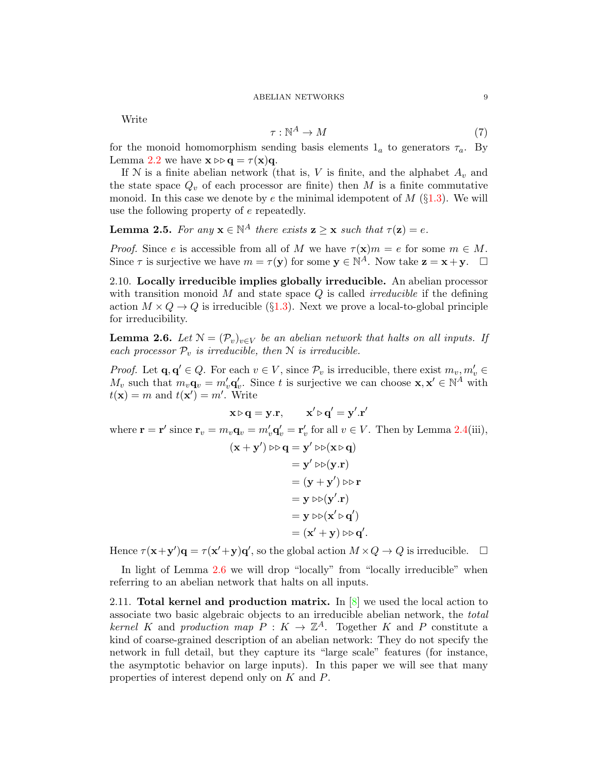Write

<span id="page-8-3"></span>
$$
\tau: \mathbb{N}^A \to M \tag{7}
$$

for the monoid homomorphism sending basis elements  $1_a$  to generators  $\tau_a$ . By Lemma [2.2](#page-6-1) we have  $\mathbf{x} \triangleright \mathbf{q} = \tau(\mathbf{x})\mathbf{q}$ .

If N is a finite abelian network (that is, V is finite, and the alphabet  $A_v$  and the state space  $Q_v$  of each processor are finite) then M is a finite commutative monoid. In this case we denote by e the minimal idempotent of  $M$  (§[1.3\)](#page-2-0). We will use the following property of e repeatedly.

<span id="page-8-1"></span>**Lemma 2.5.** For any  $\mathbf{x} \in \mathbb{N}^A$  there exists  $\mathbf{z} \geq \mathbf{x}$  such that  $\tau(\mathbf{z}) = e$ .

*Proof.* Since e is accessible from all of M we have  $\tau(\mathbf{x})m = e$  for some  $m \in M$ . Since  $\tau$  is surjective we have  $m = \tau(\mathbf{y})$  for some  $\mathbf{y} \in \mathbb{N}^A$ . Now take  $\mathbf{z} = \mathbf{x} + \mathbf{y}$ .  $\Box$ 

2.10. Locally irreducible implies globally irreducible. An abelian processor with transition monoid M and state space  $Q$  is called *irreducible* if the defining action  $M \times Q \rightarrow Q$  is irreducible (§[1.3\)](#page-2-0). Next we prove a local-to-global principle for irreducibility.

<span id="page-8-0"></span>**Lemma 2.6.** Let  $N = (\mathcal{P}_v)_{v \in V}$  be an abelian network that halts on all inputs. If each processor  $\mathcal{P}_v$  is irreducible, then N is irreducible.

*Proof.* Let  $\mathbf{q}, \mathbf{q}' \in Q$ . For each  $v \in V$ , since  $\mathcal{P}_v$  is irreducible, there exist  $m_v, m'_v \in$  $M_v$  such that  $m_v \mathbf{q}_v = m'_v \mathbf{q}'_v$ . Since t is surjective we can choose  $\mathbf{x}, \mathbf{x}' \in \mathbb{N}^A$  with  $t(\mathbf{x}) = m$  and  $t(\mathbf{x}') = m'$ . Write

$$
\mathbf{x} \triangleright \mathbf{q} = \mathbf{y}.\mathbf{r}, \qquad \mathbf{x}' \triangleright \mathbf{q}' = \mathbf{y}'.\mathbf{r}'
$$

where  $\mathbf{r} = \mathbf{r}'$  since  $\mathbf{r}_v = m_v \mathbf{q}_v = m'_v \mathbf{q}'_v = \mathbf{r}'_v$  for all  $v \in V$ . Then by Lemma [2.4\(](#page-7-1)iii),

$$
(\mathbf{x} + \mathbf{y}') \triangleright \mathbf{q} = \mathbf{y}' \triangleright \mathbf{p}(\mathbf{x} \triangleright \mathbf{q})
$$
  
\n
$$
= \mathbf{y}' \triangleright \mathbf{p}(\mathbf{y}.\mathbf{r})
$$
  
\n
$$
= (\mathbf{y} + \mathbf{y}') \triangleright \mathbf{r}
$$
  
\n
$$
= \mathbf{y} \triangleright \mathbf{p}(\mathbf{y}'.\mathbf{r})
$$
  
\n
$$
= \mathbf{y} \triangleright \mathbf{p}(\mathbf{x}' \triangleright \mathbf{q}')
$$
  
\n
$$
= (\mathbf{x}' + \mathbf{y}) \triangleright \mathbf{p} \mathbf{q}'.
$$

Hence  $\tau(\mathbf{x}+\mathbf{y}')\mathbf{q} = \tau(\mathbf{x}'+\mathbf{y})\mathbf{q}'$ , so the global action  $M \times Q \to Q$  is irreducible.  $\Box$ 

In light of Lemma [2.6](#page-8-0) we will drop "locally" from "locally irreducible" when referring to an abelian network that halts on all inputs.

<span id="page-8-2"></span>2.11. Total kernel and production matrix. In  $[8]$  we used the local action to associate two basic algebraic objects to an irreducible abelian network, the total kernel K and production map  $P: K \to \mathbb{Z}^A$ . Together K and P constitute a kind of coarse-grained description of an abelian network: They do not specify the network in full detail, but they capture its "large scale" features (for instance, the asymptotic behavior on large inputs). In this paper we will see that many properties of interest depend only on K and P.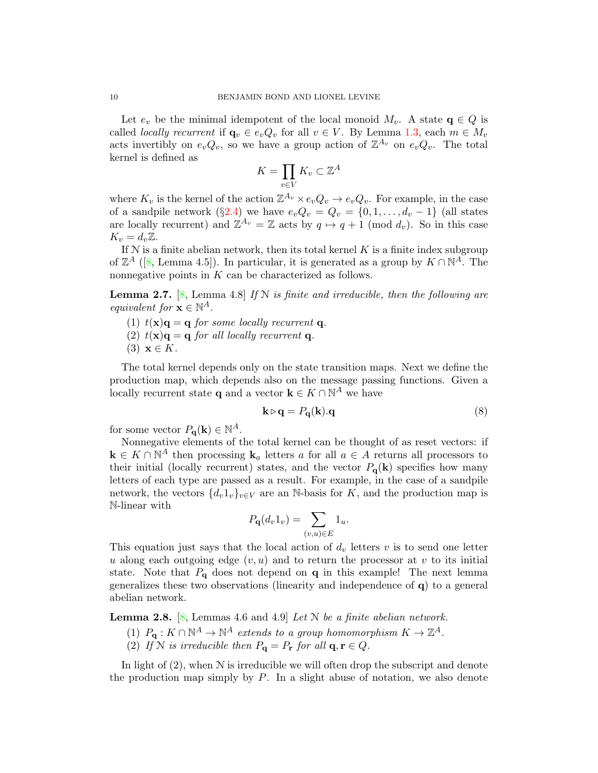Let  $e_v$  be the minimal idempotent of the local monoid  $M_v$ . A state  $q \in Q$  is called *locally recurrent* if  $\mathbf{q}_v \in e_v Q_v$  for all  $v \in V$ . By Lemma [1.3,](#page-3-1) each  $m \in M_v$ acts invertibly on  $e_vQ_v$ , so we have a group action of  $\mathbb{Z}^{A_v}$  on  $e_vQ_v$ . The total kernel is defined as

$$
K = \prod_{v \in V} K_v \subset \mathbb{Z}^A
$$

where  $K_v$  is the kernel of the action  $\mathbb{Z}^{A_v} \times e_v Q_v \to e_v Q_v$ . For example, in the case of a sandpile network (§[2.4\)](#page-4-0) we have  $e_vQ_v = Q_v = \{0, 1, \ldots, d_v - 1\}$  (all states are locally recurrent) and  $\mathbb{Z}^{A_v} = \mathbb{Z}$  acts by  $q \mapsto q + 1 \pmod{d_v}$ . So in this case  $K_v = d_v \mathbb{Z}$ .

If  $N$  is a finite abelian network, then its total kernel  $K$  is a finite index subgroup of  $\mathbb{Z}^A$  ([\[8,](#page-24-6) Lemma 4.5]). In particular, it is generated as a group by  $K \cap \mathbb{N}^A$ . The nonnegative points in K can be characterized as follows.

<span id="page-9-0"></span>**Lemma 2.7.** [\[8,](#page-24-6) Lemma 4.8] If N is finite and irreducible, then the following are equivalent for  $\mathbf{x} \in \mathbb{N}^A$ .

- (1)  $t(\mathbf{x})\mathbf{q} = \mathbf{q}$  for some locally recurrent **q**.
- (2)  $t(\mathbf{x})\mathbf{q} = \mathbf{q}$  for all locally recurrent q.
- (3)  $\mathbf{x} \in K$ .

The total kernel depends only on the state transition maps. Next we define the production map, which depends also on the message passing functions. Given a locally recurrent state **q** and a vector  $\mathbf{k} \in K \cap \mathbb{N}^A$  we have

<span id="page-9-1"></span>
$$
\mathbf{k} \triangleright \mathbf{q} = P_{\mathbf{q}}(\mathbf{k}).\mathbf{q} \tag{8}
$$

for some vector  $P_{\mathbf{q}}(\mathbf{k}) \in \mathbb{N}^A$ .

Nonnegative elements of the total kernel can be thought of as reset vectors: if  $\mathbf{k} \in K \cap \mathbb{N}^A$  then processing  $\mathbf{k}_a$  letters a for all  $a \in A$  returns all processors to their initial (locally recurrent) states, and the vector  $P_{q}(\mathbf{k})$  specifies how many letters of each type are passed as a result. For example, in the case of a sandpile network, the vectors  $\{d_v 1_v\}_{v\in V}$  are an N-basis for K, and the production map is N-linear with

$$
P_{\mathbf{q}}(d_v 1_v) = \sum_{(v,u)\in E} 1_u.
$$

This equation just says that the local action of  $d<sub>v</sub>$  letters v is to send one letter u along each outgoing edge  $(v, u)$  and to return the processor at v to its initial state. Note that  $P_{q}$  does not depend on q in this example! The next lemma generalizes these two observations (linearity and independence of q) to a general abelian network.

**Lemma 2.8.** [\[8,](#page-24-6) Lemmas 4.6 and 4.9] Let  $N$  be a finite abelian network.

- (1)  $P_{\mathbf{q}}: K \cap \mathbb{N}^A \to \mathbb{N}^A$  extends to a group homomorphism  $K \to \mathbb{Z}^A$ .
- (2) If N is irreducible then  $P_{\mathbf{q}} = P_{\mathbf{r}}$  for all  $\mathbf{q}, \mathbf{r} \in Q$ .

In light of  $(2)$ , when  $N$  is irreducible we will often drop the subscript and denote the production map simply by  $P$ . In a slight abuse of notation, we also denote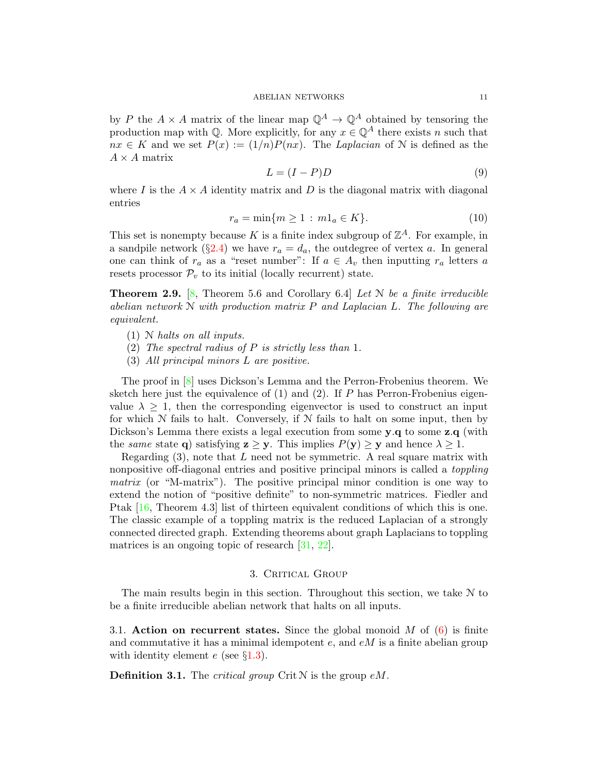by P the  $A \times A$  matrix of the linear map  $\mathbb{Q}^A \to \mathbb{Q}^A$  obtained by tensoring the production map with  $\mathbb{Q}$ . More explicitly, for any  $x \in \mathbb{Q}^A$  there exists n such that  $nx \in K$  and we set  $P(x) := (1/n)P(nx)$ . The Laplacian of N is defined as the  $A \times A$  matrix

<span id="page-10-3"></span>
$$
L = (I - P)D \tag{9}
$$

where I is the  $A \times A$  identity matrix and D is the diagonal matrix with diagonal entries

<span id="page-10-4"></span>
$$
r_a = \min\{m \ge 1 : m1_a \in K\}.
$$
 (10)

This set is nonempty because K is a finite index subgroup of  $\mathbb{Z}^A$ . For example, in a sandpile network (§[2.4\)](#page-4-0) we have  $r_a = d_a$ , the outdegree of vertex a. In general one can think of  $r_a$  as a "reset number": If  $a \in A_v$  then inputting  $r_a$  letters a resets processor  $\mathcal{P}_v$  to its initial (locally recurrent) state.

<span id="page-10-2"></span>**Theorem 2.9.** [\[8,](#page-24-6) Theorem 5.6 and Corollary 6.4] Let  $\mathcal N$  be a finite irreducible abelian network  $N$  with production matrix  $P$  and Laplacian L. The following are equivalent.

- (1) N halts on all inputs.
- (2) The spectral radius of  $P$  is strictly less than 1.
- (3) All principal minors L are positive.

The proof in [\[8\]](#page-24-6) uses Dickson's Lemma and the Perron-Frobenius theorem. We sketch here just the equivalence of  $(1)$  and  $(2)$ . If P has Perron-Frobenius eigenvalue  $\lambda \geq 1$ , then the corresponding eigenvector is used to construct an input for which  $N$  fails to halt. Conversely, if  $N$  fails to halt on some input, then by Dickson's Lemma there exists a legal execution from some **y.q** to some **z.q** (with the same state q) satisfying  $z \ge y$ . This implies  $P(y) \ge y$  and hence  $\lambda \ge 1$ .

Regarding  $(3)$ , note that L need not be symmetric. A real square matrix with nonpositive off-diagonal entries and positive principal minors is called a toppling matrix (or "M-matrix"). The positive principal minor condition is one way to extend the notion of "positive definite" to non-symmetric matrices. Fiedler and Ptak [\[16,](#page-25-13) Theorem 4.3] list of thirteen equivalent conditions of which this is one. The classic example of a toppling matrix is the reduced Laplacian of a strongly connected directed graph. Extending theorems about graph Laplacians to toppling matrices is an ongoing topic of research [\[31,](#page-25-14) [22\]](#page-25-15).

## 3. CRITICAL GROUP

<span id="page-10-1"></span>The main results begin in this section. Throughout this section, we take N to be a finite irreducible abelian network that halts on all inputs.

<span id="page-10-0"></span>3.1. Action on recurrent states. Since the global monoid M of  $(6)$  is finite and commutative it has a minimal idempotent  $e$ , and  $eM$  is a finite abelian group with identity element  $e$  (see §[1.3\)](#page-2-0).

**Definition 3.1.** The *critical group* Crit  $N$  is the group  $eM$ .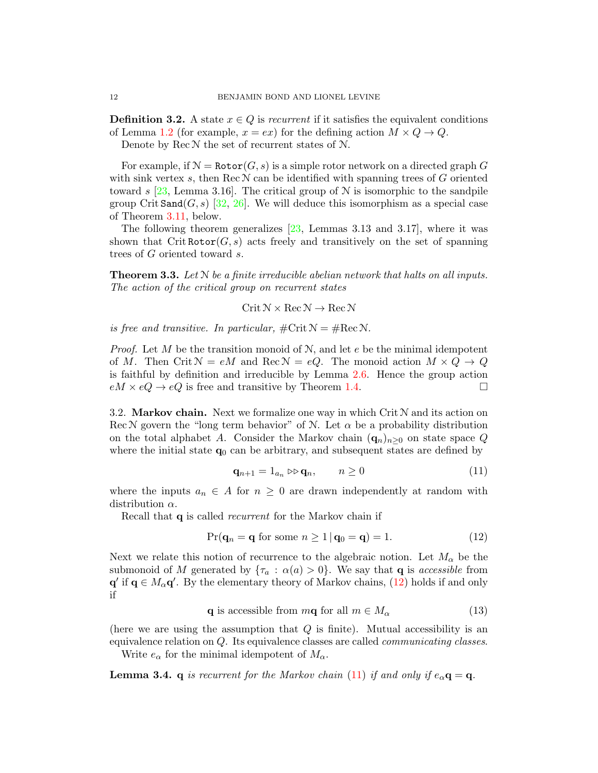**Definition 3.2.** A state  $x \in Q$  is recurrent if it satisfies the equivalent conditions of Lemma [1.2](#page-2-1) (for example,  $x = ex$ ) for the defining action  $M \times Q \rightarrow Q$ .

Denote by  $\text{Rec } \mathcal{N}$  the set of recurrent states of  $\mathcal{N}$ .

For example, if  $\mathcal{N} = \text{Rotor}(G, s)$  is a simple rotor network on a directed graph G with sink vertex s, then Rec  $N$  can be identified with spanning trees of G oriented toward s [\[23,](#page-25-16) Lemma 3.16]. The critical group of  $N$  is isomorphic to the sandpile group Crit Sand $(G, s)$  [\[32,](#page-25-4) [26\]](#page-25-6). We will deduce this isomorphism as a special case of Theorem [3.11,](#page-14-2) below.

The following theorem generalizes [\[23,](#page-25-16) Lemmas 3.13 and 3.17], where it was shown that Crit Rotor $(G, s)$  acts freely and transitively on the set of spanning trees of G oriented toward s.

<span id="page-11-5"></span>**Theorem 3.3.** Let  $N$  be a finite irreducible abelian network that halts on all inputs. The action of the critical group on recurrent states

 $Crit N \times Rec N \rightarrow Rec N$ 

is free and transitive. In particular,  $\#\mathrm{Crit}\,\mathcal{N} = \#\mathrm{Rec}\,\mathcal{N}$ .

*Proof.* Let M be the transition monoid of  $N$ , and let e be the minimal idempotent of M. Then Crit  $N = eM$  and Rec  $N = eQ$ . The monoid action  $M \times Q \rightarrow Q$ is faithful by definition and irreducible by Lemma [2.6.](#page-8-0) Hence the group action  $eM \times eQ \to eQ$  is free and transitive by Theorem [1.4.](#page-3-2)

<span id="page-11-0"></span>3.2. Markov chain. Next we formalize one way in which Crit  $N$  and its action on Rec N govern the "long term behavior" of N. Let  $\alpha$  be a probability distribution on the total alphabet A. Consider the Markov chain  $(q_n)_{n>0}$  on state space Q. where the initial state  $q_0$  can be arbitrary, and subsequent states are defined by

<span id="page-11-2"></span>
$$
\mathbf{q}_{n+1} = 1_{a_n} \triangleright \mathbf{q}_n, \qquad n \ge 0 \tag{11}
$$

where the inputs  $a_n \in A$  for  $n \geq 0$  are drawn independently at random with distribution  $\alpha$ .

Recall that q is called recurrent for the Markov chain if

<span id="page-11-1"></span>
$$
Pr(\mathbf{q}_n = \mathbf{q} \text{ for some } n \ge 1 \, | \, \mathbf{q}_0 = \mathbf{q}) = 1. \tag{12}
$$

Next we relate this notion of recurrence to the algebraic notion. Let  $M_{\alpha}$  be the submonoid of M generated by  $\{\tau_a : \alpha(a) > 0\}$ . We say that **q** is *accessible* from  $\mathbf{q}'$  if  $\mathbf{q} \in M_\alpha \mathbf{q}'$ . By the elementary theory of Markov chains, [\(12\)](#page-11-1) holds if and only if

<span id="page-11-3"></span>q is accessible from  $m\mathbf{q}$  for all  $m \in M_{\alpha}$  (13)

(here we are using the assumption that  $Q$  is finite). Mutual accessibility is an equivalence relation on  $Q$ . Its equivalence classes are called *communicating classes*.

Write  $e_{\alpha}$  for the minimal idempotent of  $M_{\alpha}$ .

<span id="page-11-4"></span>**Lemma 3.4.** q is recurrent for the Markov chain [\(11\)](#page-11-2) if and only if  $e_{\alpha} \mathbf{q} = \mathbf{q}$ .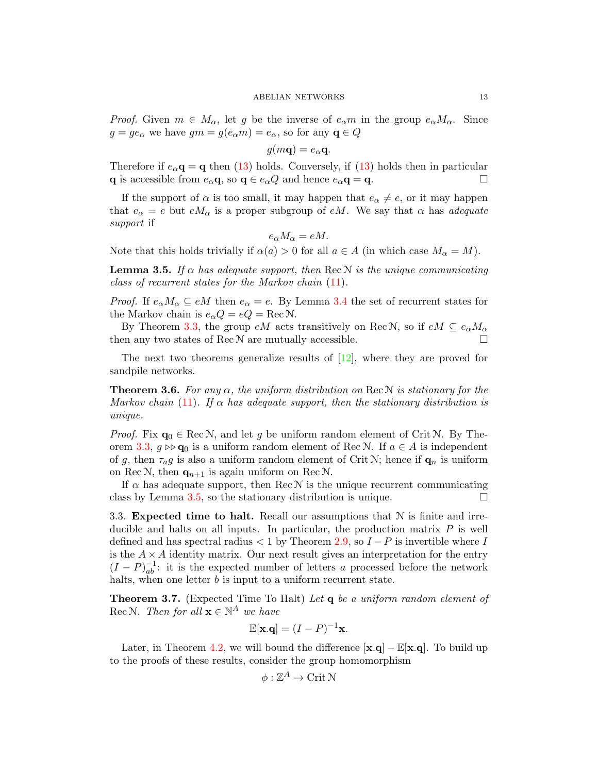*Proof.* Given  $m \in M_\alpha$ , let g be the inverse of  $e_\alpha m$  in the group  $e_\alpha M_\alpha$ . Since  $g = ge_{\alpha}$  we have  $gm = g(e_{\alpha}m) = e_{\alpha}$ , so for any  $\mathbf{q} \in Q$ 

$$
g(m\mathbf{q})=e_{\alpha}\mathbf{q}.
$$

Therefore if  $e_{\alpha}$ **q** = **q** then [\(13\)](#page-11-3) holds. Conversely, if (13) holds then in particular q is accessible from  $e_{\alpha} \mathbf{q}$ , so  $\mathbf{q} \in e_{\alpha} Q$  and hence  $e_{\alpha} \mathbf{q} = \mathbf{q}$ .

If the support of  $\alpha$  is too small, it may happen that  $e_{\alpha} \neq e$ , or it may happen that  $e_{\alpha} = e$  but  $e_{\alpha}$  is a proper subgroup of eM. We say that  $\alpha$  has *adequate* support if

$$
e_{\alpha}M_{\alpha}=eM.
$$

Note that this holds trivially if  $\alpha(a) > 0$  for all  $a \in A$  (in which case  $M_{\alpha} = M$ ).

<span id="page-12-1"></span>**Lemma 3.5.** If  $\alpha$  has adequate support, then Rec N is the unique communicating class of recurrent states for the Markov chain [\(11\)](#page-11-2).

*Proof.* If  $e_{\alpha}M_{\alpha} \subseteq eM$  then  $e_{\alpha} = e$ . By Lemma [3.4](#page-11-4) the set of recurrent states for the Markov chain is  $e_{\alpha}Q = eQ = \text{Rec N}$ .

By Theorem [3.3,](#page-11-5) the group  $eM$  acts transitively on Rec N, so if  $eM \subseteq e_{\alpha}M_{\alpha}$ then any two states of  $\text{Rec} \mathcal{N}$  are mutually accessible.

The next two theorems generalize results of [\[12\]](#page-25-2), where they are proved for sandpile networks.

<span id="page-12-3"></span>**Theorem 3.6.** For any  $\alpha$ , the uniform distribution on Rec N is stationary for the Markov chain [\(11\)](#page-11-2). If  $\alpha$  has adequate support, then the stationary distribution is unique.

*Proof.* Fix  $\mathbf{q}_0 \in \text{Rec} \mathcal{N}$ , and let g be uniform random element of Crit N. By The-orem [3.3,](#page-11-5)  $g \triangleright \mathsf{q}_0$  is a uniform random element of Rec N. If  $a \in A$  is independent of g, then  $\tau_a$ g is also a uniform random element of Crit N; hence if  $\mathbf{q}_n$  is uniform on Rec N, then  $q_{n+1}$  is again uniform on Rec N.

If  $\alpha$  has adequate support, then Rec  $\mathcal N$  is the unique recurrent communicating class by Lemma [3.5,](#page-12-1) so the stationary distribution is unique.  $\Box$ 

<span id="page-12-0"></span>3.3. Expected time to halt. Recall our assumptions that  $N$  is finite and irreducible and halts on all inputs. In particular, the production matrix  $P$  is well defined and has spectral radius  $\lt 1$  by Theorem [2.9,](#page-10-2) so  $I-P$  is invertible where I is the  $A \times A$  identity matrix. Our next result gives an interpretation for the entry  $(I - P)^{-1}_{ab}$ : it is the expected number of letters a processed before the network halts, when one letter  $b$  is input to a uniform recurrent state.

<span id="page-12-2"></span>Theorem 3.7. (Expected Time To Halt) Let q be a uniform random element of Rec N. Then for all  $\mathbf{x} \in \mathbb{N}^A$  we have

$$
\mathbb{E}[\mathbf{x}.\mathbf{q}] = (I - P)^{-1}\mathbf{x}.
$$

Later, in Theorem [4.2,](#page-18-1) we will bound the difference  $[\mathbf{x}, \mathbf{q}] - \mathbb{E}[\mathbf{x}, \mathbf{q}]$ . To build up to the proofs of these results, consider the group homomorphism

$$
\phi:\mathbb{Z}^A\to\mathop{\rm Crit}\nolimits\mathcal{N}
$$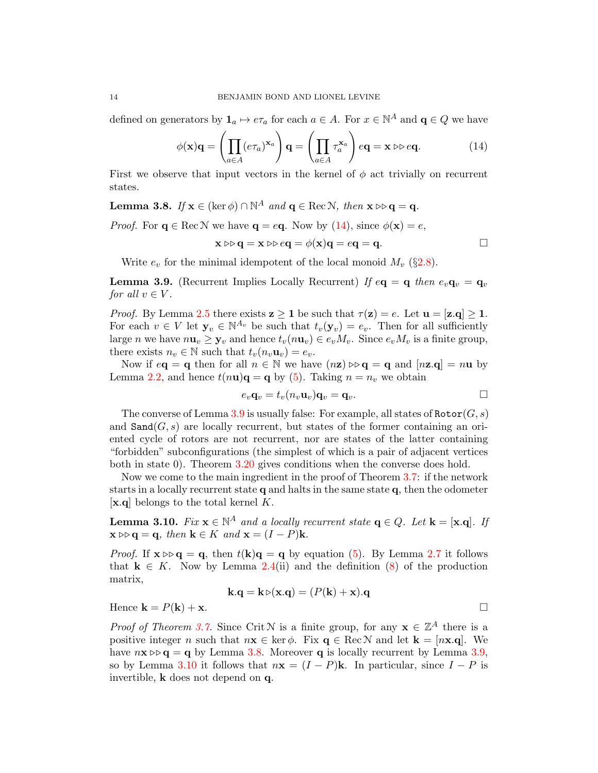defined on generators by  $\mathbf{1}_a \mapsto e\tau_a$  for each  $a \in A$ . For  $x \in \mathbb{N}^A$  and  $\mathbf{q} \in Q$  we have

<span id="page-13-0"></span>
$$
\phi(\mathbf{x})\mathbf{q} = \left(\prod_{a \in A} (e\tau_a)^{\mathbf{x}_a}\right)\mathbf{q} = \left(\prod_{a \in A} \tau_a^{\mathbf{x}_a}\right) e\mathbf{q} = \mathbf{x} \triangleright e\mathbf{q}.
$$
 (14)

First we observe that input vectors in the kernel of  $\phi$  act trivially on recurrent states.

<span id="page-13-2"></span>**Lemma 3.8.** If  $\mathbf{x} \in (\ker \phi) \cap \mathbb{N}^A$  and  $\mathbf{q} \in \text{Rec} \mathcal{N}$ , then  $\mathbf{x} \triangleright \mathbf{q} = \mathbf{q}$ .

*Proof.* For  $q \in \text{Rec} \mathcal{N}$  we have  $q = eq$ . Now by [\(14\)](#page-13-0), since  $\phi(\mathbf{x}) = e$ ,

$$
\mathbf{x} \triangleright \triangleright \mathbf{q} = \mathbf{x} \triangleright \triangleright \mathbf{e} \mathbf{q} = \phi(\mathbf{x})\mathbf{q} = \mathbf{e}\mathbf{q} = \mathbf{q}.
$$

Write  $e_v$  for the minimal idempotent of the local monoid  $M_v$  (§[2.8\)](#page-7-3).

<span id="page-13-1"></span>**Lemma 3.9.** (Recurrent Implies Locally Recurrent) If  $e\mathbf{q} = \mathbf{q}$  then  $e_v\mathbf{q}_v = \mathbf{q}_v$ for all  $v \in V$ .

*Proof.* By Lemma [2.5](#page-8-1) there exists  $z \ge 1$  be such that  $\tau(z) = e$ . Let  $u = [z,q] \ge 1$ . For each  $v \in V$  let  $y_v \in \mathbb{N}^{A_v}$  be such that  $t_v(y_v) = e_v$ . Then for all sufficiently large n we have  $n\mathbf{u}_v \geq \mathbf{y}_v$  and hence  $t_v(n\mathbf{u}_v) \in e_v M_v$ . Since  $e_v M_v$  is a finite group, there exists  $n_v \in \mathbb{N}$  such that  $t_v(n_v \mathbf{u}_v) = e_v$ .

Now if  $e\mathbf{q} = \mathbf{q}$  then for all  $n \in \mathbb{N}$  we have  $(n\mathbf{z}) \triangleright \mathbf{q} = \mathbf{q}$  and  $[n\mathbf{z}, \mathbf{q}] = n\mathbf{u}$  by Lemma [2.2,](#page-6-1) and hence  $t(n\mathbf{u})\mathbf{q} = \mathbf{q}$  by [\(5\)](#page-7-4). Taking  $n = n_v$  we obtain

$$
e_v \mathbf{q}_v = t_v(n_v \mathbf{u}_v) \mathbf{q}_v = \mathbf{q}_v.
$$

The converse of Lemma [3.9](#page-13-1) is usually false: For example, all states of  $\text{Rotor}(G, s)$ and  $\text{Sand}(G, s)$  are locally recurrent, but states of the former containing an oriented cycle of rotors are not recurrent, nor are states of the latter containing "forbidden" subconfigurations (the simplest of which is a pair of adjacent vertices both in state 0). Theorem [3.20](#page-17-0) gives conditions when the converse does hold.

Now we come to the main ingredient in the proof of Theorem [3.7:](#page-12-2) if the network starts in a locally recurrent state  $q$  and halts in the same state  $q$ , then the odometer  $[x,q]$  belongs to the total kernel K.

<span id="page-13-3"></span>**Lemma 3.10.** Fix  $\mathbf{x} \in \mathbb{N}^A$  and a locally recurrent state  $\mathbf{q} \in Q$ . Let  $\mathbf{k} = [\mathbf{x} \cdot \mathbf{q}]$ . If  $\mathbf{x} \triangleright \mathbf{q} = \mathbf{q}$ , then  $\mathbf{k} \in K$  and  $\mathbf{x} = (I - P)\mathbf{k}$ .

*Proof.* If  $\mathbf{x} \triangleright \mathbf{q} = \mathbf{q}$ , then  $t(\mathbf{k})\mathbf{q} = \mathbf{q}$  by equation [\(5\)](#page-7-4). By Lemma [2.7](#page-9-0) it follows that  $k \in K$ . Now by Lemma [2.4\(](#page-7-1)ii) and the definition [\(8\)](#page-9-1) of the production matrix,

$$
\mathbf{k}.\mathbf{q} = \mathbf{k} \triangleright (\mathbf{x}.\mathbf{q}) = (P(\mathbf{k}) + \mathbf{x}).\mathbf{q}
$$

Hence  $\mathbf{k} = P(\mathbf{k}) + \mathbf{x}$ .

*Proof of Theorem [3.7.](#page-12-2)* Since Crit N is a finite group, for any  $\mathbf{x} \in \mathbb{Z}^A$  there is a positive integer n such that  $n\mathbf{x} \in \text{ker }\phi$ . Fix  $\mathbf{q} \in \text{Rec } N$  and let  $\mathbf{k} = [n\mathbf{x} \cdot \mathbf{q}]$ . We have  $n\mathbf{x} \triangleright \mathbf{q} = \mathbf{q}$  by Lemma [3.8.](#page-13-2) Moreover **q** is locally recurrent by Lemma [3.9,](#page-13-1) so by Lemma [3.10](#page-13-3) it follows that  $n\mathbf{x} = (I - P)\mathbf{k}$ . In particular, since  $I - P$  is invertible, k does not depend on q.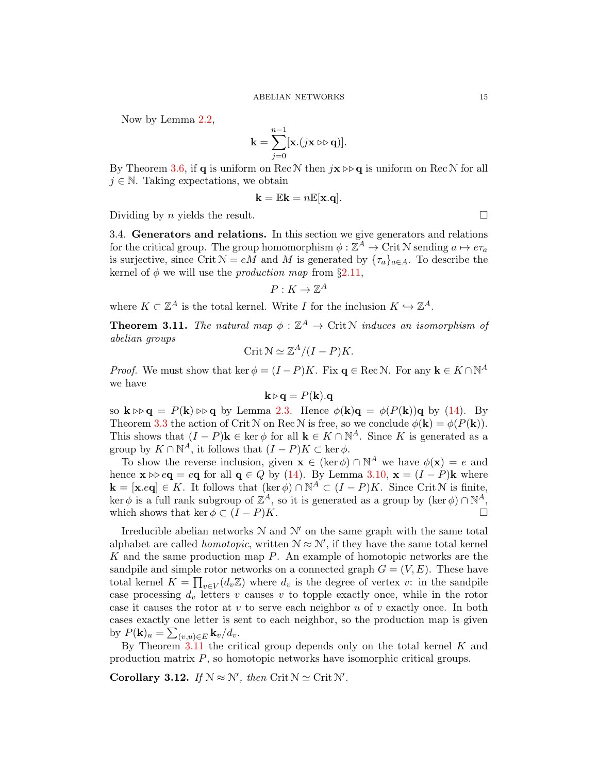Now by Lemma [2.2,](#page-6-1)

$$
\mathbf{k} = \sum_{j=0}^{n-1} [\mathbf{x}.(j\mathbf{x} \triangleright\triangleright \mathbf{q})].
$$

By Theorem [3.6,](#page-12-3) if **q** is uniform on Rec  $\mathcal N$  then  $j\mathbf{x} \triangleright \mathbf{q}$  is uniform on Rec  $\mathcal N$  for all  $j \in \mathbb{N}$ . Taking expectations, we obtain

$$
\mathbf{k} = \mathbb{E} \mathbf{k} = n \mathbb{E}[\mathbf{x} \cdot \mathbf{q}].
$$

Dividing by *n* yields the result.

<span id="page-14-1"></span>3.4. Generators and relations. In this section we give generators and relations for the critical group. The group homomorphism  $\phi : \mathbb{Z}^A \to \mathrm{Crit}\,\mathbb{N}$  sending  $a \mapsto e\tau_a$ is surjective, since Crit  $N = e\overline{M}$  and  $\overline{M}$  is generated by  $\{\tau_a\}_{a \in A}$ . To describe the kernel of  $\phi$  we will use the *production map* from §[2.11,](#page-8-2)

$$
P: K \to \mathbb{Z}^A
$$

where  $K \subset \mathbb{Z}^A$  is the total kernel. Write I for the inclusion  $K \hookrightarrow \mathbb{Z}^A$ .

<span id="page-14-2"></span>**Theorem 3.11.** The natural map  $\phi : \mathbb{Z}^A \to \text{Crit } \mathbb{N}$  induces an isomorphism of abelian groups

$$
\operatorname{Crit} \mathcal{N} \simeq \mathbb{Z}^A / (I - P) K.
$$

*Proof.* We must show that ker  $\phi = (I - P)K$ . Fix  $\mathbf{q} \in \text{Rec} \mathcal{N}$ . For any  $\mathbf{k} \in K \cap \mathbb{N}^A$ we have

$$
\mathbf{k} \triangleright \mathbf{q} = P(\mathbf{k}).\mathbf{q}
$$

so  $\mathbf{k} \triangleright \mathbf{q} = P(\mathbf{k}) \triangleright \mathbf{q}$  by Lemma [2.3.](#page-6-2) Hence  $\phi(\mathbf{k})\mathbf{q} = \phi(P(\mathbf{k}))\mathbf{q}$  by [\(14\)](#page-13-0). By Theorem [3.3](#page-11-5) the action of Crit N on Rec N is free, so we conclude  $\phi(\mathbf{k}) = \phi(P(\mathbf{k}))$ . This shows that  $(I - P)$ **k**  $\in$  ker  $\phi$  for all **k**  $\in K \cap \mathbb{N}^A$ . Since K is generated as a group by  $K \cap \mathbb{N}^A$ , it follows that  $(I - P)K \subset \text{ker }\phi$ .

To show the reverse inclusion, given  $\mathbf{x} \in (\ker \phi) \cap \mathbb{N}^A$  we have  $\phi(\mathbf{x}) = e$  and hence  $\mathbf{x} \triangleright e \mathbf{q} = e\mathbf{q}$  for all  $\mathbf{q} \in Q$  by [\(14\)](#page-13-0). By Lemma [3.10,](#page-13-3)  $\mathbf{x} = (I - P)\mathbf{k}$  where  $\mathbf{k} = [\mathbf{x}.\mathit{eq}] \in K$ . It follows that  $(\ker \phi) \cap \mathbb{N}^A \subset (I - P)K$ . Since Crit N is finite, ker  $\phi$  is a full rank subgroup of  $\mathbb{Z}^A$ , so it is generated as a group by (ker  $\phi$ )  $\cap \mathbb{N}^A$ , which shows that ker  $\phi \subset (I - P)K$ .

Irreducible abelian networks  $N$  and  $N'$  on the same graph with the same total alphabet are called *homotopic*, written  $N \approx N'$ , if they have the same total kernel  $K$  and the same production map  $P$ . An example of homotopic networks are the sandpile and simple rotor networks on a connected graph  $G = (V, E)$ . These have total kernel  $K = \prod_{v \in V} (d_v \mathbb{Z})$  where  $d_v$  is the degree of vertex v: in the sandpile case processing  $d_v$  letters v causes v to topple exactly once, while in the rotor case it causes the rotor at  $v$  to serve each neighbor  $u$  of  $v$  exactly once. In both cases exactly one letter is sent to each neighbor, so the production map is given by  $P(\mathbf{k})_u = \sum_{(v,u)\in E} \mathbf{k}_v/d_v$ .

By Theorem  $3.11$  the critical group depends only on the total kernel K and production matrix P, so homotopic networks have isomorphic critical groups.

<span id="page-14-0"></span>Corollary 3.12. If  $N \approx N'$ , then Crit  $N \simeq$  Crit  $N'$ .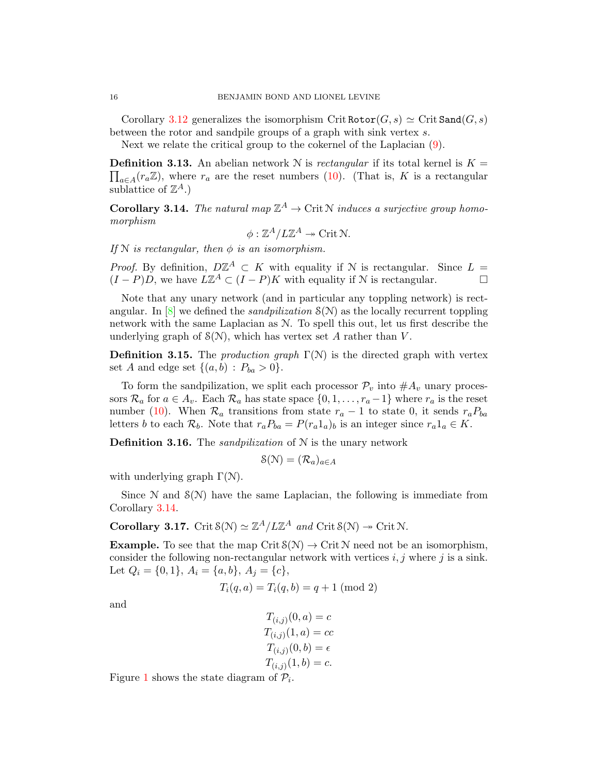Corollary [3.12](#page-14-0) generalizes the isomorphism Crit Rotor $(G, s) \simeq$  Crit Sand $(G, s)$ between the rotor and sandpile groups of a graph with sink vertex s.

Next we relate the critical group to the cokernel of the Laplacian [\(9\)](#page-10-3).

**Definition 3.13.** An abelian network N is rectangular if its total kernel is  $K =$  $\prod_{a\in A}(r_a\mathbb{Z})$ , where  $r_a$  are the reset numbers [\(10\)](#page-10-4). (That is, K is a rectangular sublattice of  $\mathbb{Z}^A$ .)

<span id="page-15-0"></span>**Corollary 3.14.** The natural map  $\mathbb{Z}^A \to \text{Crit } \mathbb{N}$  induces a surjective group homomorphism

$$
\phi: \mathbb{Z}^A / L\mathbb{Z}^A \twoheadrightarrow \text{Crit } \mathbb{N}.
$$

If N is rectangular, then  $\phi$  is an isomorphism.

*Proof.* By definition,  $D\mathbb{Z}^A \subset K$  with equality if N is rectangular. Since  $L =$  $(I - P)D$ , we have  $L\mathbb{Z}^A \subset (I - P)K$  with equality if N is rectangular.

Note that any unary network (and in particular any toppling network) is rectangular. In  $[8]$  we defined the *sandpilization*  $S(N)$  as the locally recurrent toppling network with the same Laplacian as N. To spell this out, let us first describe the underlying graph of  $\mathcal{S}(N)$ , which has vertex set A rather than V.

<span id="page-15-1"></span>**Definition 3.15.** The *production graph*  $\Gamma(\mathcal{N})$  is the directed graph with vertex set A and edge set  $\{(a, b) : P_{ba} > 0\}.$ 

To form the sandpilization, we split each processor  $\mathcal{P}_v$  into  $\#A_v$  unary processors  $\mathcal{R}_a$  for  $a \in A_v$ . Each  $\mathcal{R}_a$  has state space  $\{0, 1, \ldots, r_a-1\}$  where  $r_a$  is the reset number [\(10\)](#page-10-4). When  $\mathcal{R}_a$  transitions from state  $r_a - 1$  to state 0, it sends  $r_a P_{ba}$ letters b to each  $\mathcal{R}_b$ . Note that  $r_a P_{ba} = P(r_a 1_a)_b$  is an integer since  $r_a 1_a \in K$ .

**Definition 3.16.** The *sandpilization* of  $N$  is the unary network

$$
\mathcal{S}(\mathcal{N})=(\mathcal{R}_a)_{a\in A}
$$

with underlying graph  $\Gamma(\mathcal{N})$ .

Since  $\mathcal N$  and  $\mathcal S(\mathcal N)$  have the same Laplacian, the following is immediate from Corollary [3.14.](#page-15-0)

**Corollary 3.17.** Crit  $\mathcal{S}(\mathcal{N}) \simeq \mathbb{Z}^A / L\mathbb{Z}^A$  and Crit  $\mathcal{S}(\mathcal{N}) \to \text{Crit }\mathcal{N}$ .

**Example.** To see that the map Crit  $S(N) \to$  Crit N need not be an isomorphism, consider the following non-rectangular network with vertices  $i, j$  where j is a sink. Let  $Q_i = \{0, 1\}, A_i = \{a, b\}, A_j = \{c\},\$ 

$$
T_i(q, a) = T_i(q, b) = q + 1 \pmod{2}
$$

and

$$
T_{(i,j)}(0, a) = c
$$
  
\n
$$
T_{(i,j)}(1, a) = cc
$$
  
\n
$$
T_{(i,j)}(0, b) = \epsilon
$$
  
\n
$$
T_{(i,j)}(1, b) = c.
$$

Figure [1](#page-16-1) shows the state diagram of  $P_i$ .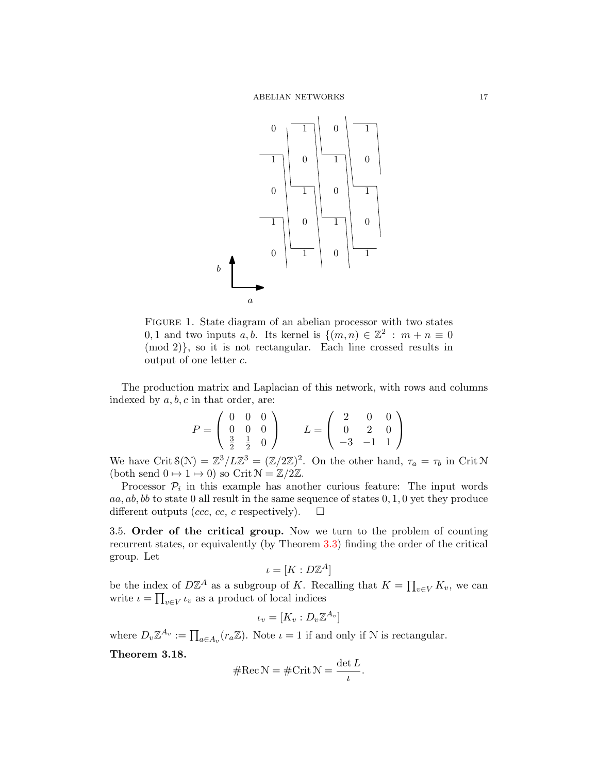

<span id="page-16-1"></span>FIGURE 1. State diagram of an abelian processor with two states 0, 1 and two inputs a, b. Its kernel is  $\{(m,n)\in\mathbb{Z}^2\,:\,m+n\equiv 0\}$ (mod 2)}, so it is not rectangular. Each line crossed results in output of one letter c.

The production matrix and Laplacian of this network, with rows and columns indexed by  $a, b, c$  in that order, are:

$$
P = \left(\begin{array}{ccc} 0 & 0 & 0 \\ 0 & 0 & 0 \\ \frac{3}{2} & \frac{1}{2} & 0 \end{array}\right) \qquad L = \left(\begin{array}{ccc} 2 & 0 & 0 \\ 0 & 2 & 0 \\ -3 & -1 & 1 \end{array}\right)
$$

We have Crit  $\mathcal{S}(\mathcal{N}) = \mathbb{Z}^3/L\mathbb{Z}^3 = (\mathbb{Z}/2\mathbb{Z})^2$ . On the other hand,  $\tau_a = \tau_b$  in Crit N (both send  $0 \mapsto 1 \mapsto 0$ ) so Crit  $\mathcal{N} = \mathbb{Z}/2\mathbb{Z}$ .

Processor  $P_i$  in this example has another curious feature: The input words  $aa, ab, bb$  to state 0 all result in the same sequence of states  $0, 1, 0$  yet they produce different outputs (ccc, cc, c respectively).  $\square$ 

<span id="page-16-0"></span>3.5. Order of the critical group. Now we turn to the problem of counting recurrent states, or equivalently (by Theorem [3.3\)](#page-11-5) finding the order of the critical group. Let

$$
\iota = [K : D\mathbb{Z}^A]
$$

be the index of  $D\mathbb{Z}^A$  as a subgroup of K. Recalling that  $K = \prod_{v \in V} K_v$ , we can write  $\iota = \prod_{v \in V} \iota_v$  as a product of local indices

$$
\iota_v = [K_v : D_v \mathbb{Z}^{A_v}]
$$

where  $D_v \mathbb{Z}^{A_v} := \prod_{a \in A_v} (r_a \mathbb{Z})$ . Note  $\iota = 1$  if and only if N is rectangular.

<span id="page-16-2"></span>Theorem 3.18.

$$
\#\text{Rec}\,\mathcal{N} = \#\text{Crit}\,\mathcal{N} = \frac{\det L}{\iota}.
$$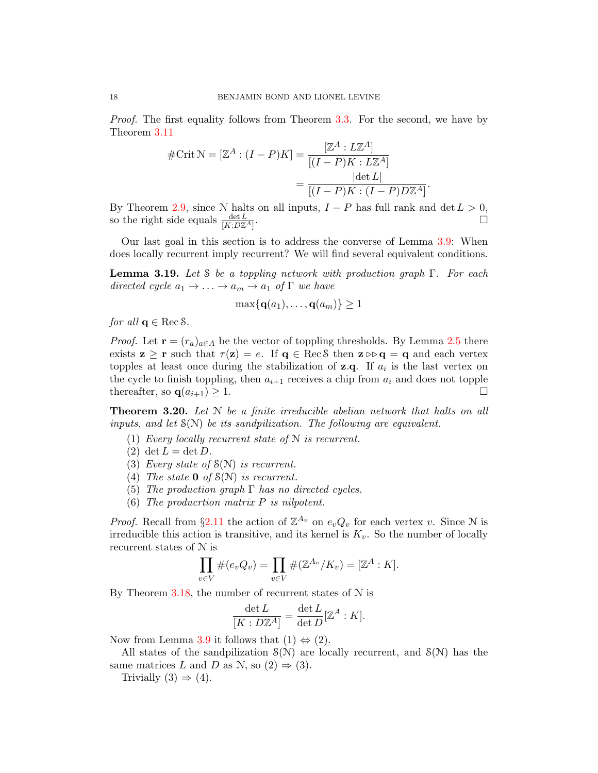Proof. The first equality follows from Theorem [3.3.](#page-11-5) For the second, we have by Theorem [3.11](#page-14-2)

$$
#Crit \mathcal{N} = [\mathbb{Z}^A : (I - P)K] = \frac{[\mathbb{Z}^A : L\mathbb{Z}^A]}{[(I - P)K : L\mathbb{Z}^A]}
$$

$$
= \frac{|\det L|}{[(I - P)K : (I - P)D\mathbb{Z}^A]}
$$

.

By Theorem [2.9,](#page-10-2) since N halts on all inputs,  $I - P$  has full rank and det  $L > 0$ , so the right side equals  $\frac{\det L}{[K:D\mathbb{Z}^A]}$ .

Our last goal in this section is to address the converse of Lemma [3.9:](#page-13-1) When does locally recurrent imply recurrent? We will find several equivalent conditions.

<span id="page-17-1"></span>**Lemma 3.19.** Let S be a toppling network with production graph  $\Gamma$ . For each directed cycle  $a_1 \rightarrow \ldots \rightarrow a_m \rightarrow a_1$  of  $\Gamma$  we have

$$
\max\{\mathbf{q}(a_1),\ldots,\mathbf{q}(a_m)\}\geq 1
$$

for all  $q \in \text{Rec} \, S$ .

*Proof.* Let  $\mathbf{r} = (r_a)_{a \in A}$  be the vector of toppling thresholds. By Lemma [2.5](#page-8-1) there exists  $z \ge r$  such that  $\tau(z) = e$ . If  $q \in \text{Rec}\delta$  then  $z \triangleright q = q$  and each vertex topples at least once during the stabilization of  $z.q$ . If  $a<sub>i</sub>$  is the last vertex on the cycle to finish toppling, then  $a_{i+1}$  receives a chip from  $a_i$  and does not topple thereafter, so  $\mathbf{q}(a_{i+1}) \geq 1$ .

<span id="page-17-0"></span>**Theorem 3.20.** Let  $N$  be a finite irreducible abelian network that halts on all inputs, and let  $S(N)$  be its sandpilization. The following are equivalent.

- (1) Every locally recurrent state of  $N$  is recurrent.
- (2) det  $L = \det D$ .
- (3) Every state of  $S(N)$  is recurrent.
- (4) The state **0** of  $\mathcal{S}(\mathcal{N})$  is recurrent.
- (5) The production graph  $\Gamma$  has no directed cycles.
- (6) The producrtion matrix P is nilpotent.

*Proof.* Recall from §[2.11](#page-8-2) the action of  $\mathbb{Z}^{A_v}$  on  $e_vQ_v$  for each vertex v. Since N is irreducible this action is transitive, and its kernel is  $K_v$ . So the number of locally recurrent states of N is

$$
\prod_{v \in V} \#(e_v Q_v) = \prod_{v \in V} \#(\mathbb{Z}^{A_v}/K_v) = [\mathbb{Z}^A : K].
$$

By Theorem [3.18,](#page-16-2) the number of recurrent states of  $N$  is

$$
\frac{\det L}{[K: D\mathbb{Z}^A]} = \frac{\det L}{\det D} [\mathbb{Z}^A : K].
$$

Now from Lemma [3.9](#page-13-1) it follows that  $(1) \Leftrightarrow (2)$ .

All states of the sandpilization  $\mathcal{S}(\mathcal{N})$  are locally recurrent, and  $\mathcal{S}(\mathcal{N})$  has the same matrices L and D as N, so  $(2) \Rightarrow (3)$ .

Trivially  $(3) \Rightarrow (4)$ .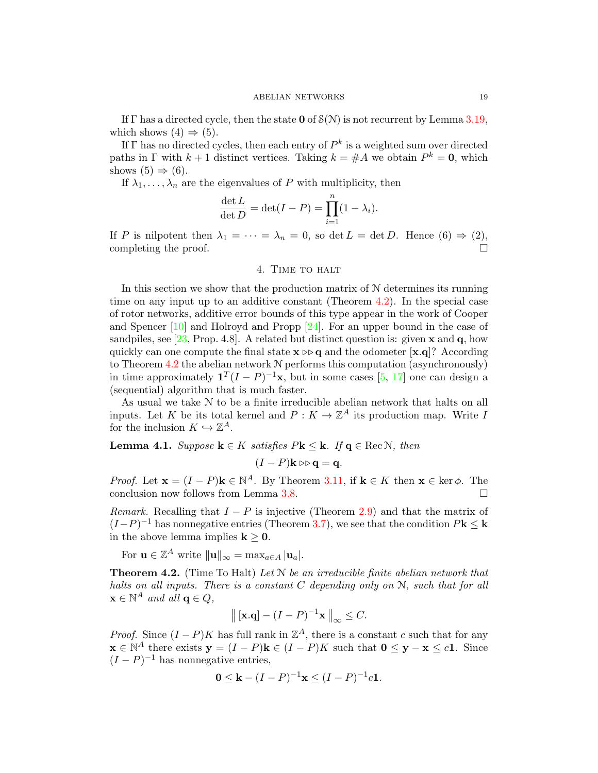If  $\Gamma$  has a directed cycle, then the state **0** of  $S(N)$  is not recurrent by Lemma [3.19,](#page-17-1) which shows  $(4) \Rightarrow (5)$ .

If  $\Gamma$  has no directed cycles, then each entry of  $P^k$  is a weighted sum over directed paths in  $\Gamma$  with  $k+1$  distinct vertices. Taking  $k = \#A$  we obtain  $P^k = 0$ , which shows  $(5) \Rightarrow (6)$ .

If  $\lambda_1, \ldots, \lambda_n$  are the eigenvalues of P with multiplicity, then

$$
\frac{\det L}{\det D} = \det(I - P) = \prod_{i=1}^{n} (1 - \lambda_i).
$$

If P is nilpotent then  $\lambda_1 = \cdots = \lambda_n = 0$ , so det  $L = \det D$ . Hence  $(6) \Rightarrow (2)$ , completing the proof.

4. Time to halt

<span id="page-18-0"></span>In this section we show that the production matrix of  $N$  determines its running time on any input up to an additive constant (Theorem [4.2\)](#page-18-1). In the special case of rotor networks, additive error bounds of this type appear in the work of Cooper and Spencer [\[10\]](#page-24-7) and Holroyd and Propp [\[24\]](#page-25-17). For an upper bound in the case of sandpiles, see [\[23,](#page-25-16) Prop. 4.8]. A related but distinct question is: given  $\bf{x}$  and  $\bf{q}$ , how quickly can one compute the final state  $\mathbf{x} \triangleright \mathbf{q}$  and the odometer  $[\mathbf{x}, \mathbf{q}]$ ? According to Theorem  $4.2$  the abelian network  $N$  performs this computation (asynchronously) in time approximately  $\mathbf{1}^T(I-P)^{-1}\mathbf{x}$ , but in some cases [\[5,](#page-24-8) [17\]](#page-25-18) one can design a (sequential) algorithm that is much faster.

As usual we take N to be a finite irreducible abelian network that halts on all inputs. Let K be its total kernel and  $P: K \to \mathbb{Z}^A$  its production map. Write I for the inclusion  $K \hookrightarrow \mathbb{Z}^A$ .

<span id="page-18-2"></span>**Lemma 4.1.** Suppose  $\mathbf{k} \in K$  satisfies  $P\mathbf{k} \leq \mathbf{k}$ . If  $\mathbf{q} \in \text{RecN}$ , then

 $(I - P)$ k  $\triangleright$   $\triangleright$  q = q.

*Proof.* Let  $\mathbf{x} = (I - P)\mathbf{k} \in \mathbb{N}^{A}$ . By Theorem [3.11,](#page-14-2) if  $\mathbf{k} \in K$  then  $\mathbf{x} \in \text{ker }\phi$ . The conclusion now follows from Lemma [3.8.](#page-13-2)  $\Box$ 

Remark. Recalling that  $I - P$  is injective (Theorem [2.9\)](#page-10-2) and that the matrix of  $(I-P)^{-1}$  has nonnegative entries (Theorem [3.7\)](#page-12-2), we see that the condition  $P\mathbf{k} \leq \mathbf{k}$ in the above lemma implies  $k \geq 0$ .

For  $\mathbf{u} \in \mathbb{Z}^A$  write  $\|\mathbf{u}\|_{\infty} = \max_{a \in A} |\mathbf{u}_a|$ .

<span id="page-18-1"></span>**Theorem 4.2.** (Time To Halt) Let  $N$  be an irreducible finite abelian network that halts on all inputs. There is a constant  $C$  depending only on  $N$ , such that for all  $\mathbf{x} \in \mathbb{N}^A$  and all  $\mathbf{q} \in Q$ ,

$$
\left\| \left[ \mathbf{x}. \mathbf{q} \right] - (I - P)^{-1} \mathbf{x} \right\|_{\infty} \leq C.
$$

*Proof.* Since  $(I - P)K$  has full rank in  $\mathbb{Z}^A$ , there is a constant c such that for any  $\mathbf{x} \in \mathbb{N}^A$  there exists  $\mathbf{y} = (I - P)\mathbf{k} \in (I - P)K$  such that  $\mathbf{0} \leq \mathbf{y} - \mathbf{x} \leq c\mathbf{1}$ . Since  $(I - P)^{-1}$  has nonnegative entries,

$$
0 \leq k - (I - P)^{-1}x \leq (I - P)^{-1}c1.
$$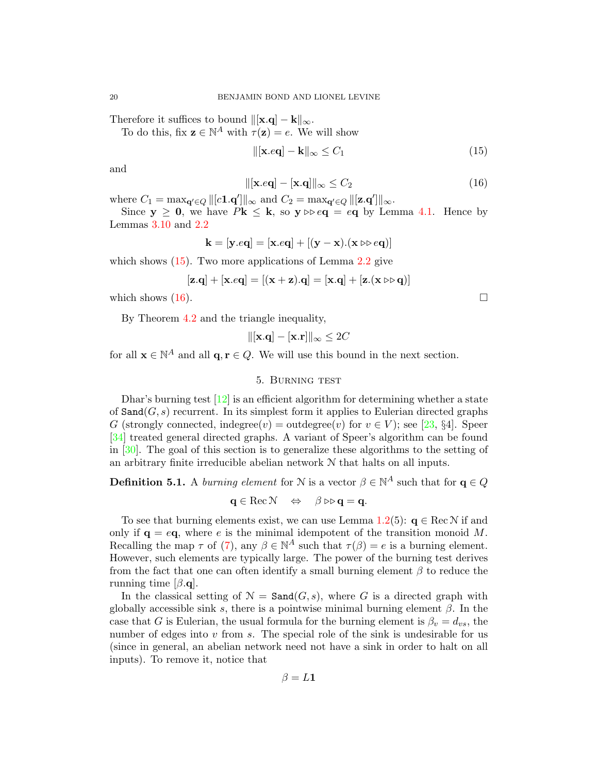Therefore it suffices to bound  $\|\mathbf{x}.\mathbf{q}\| - \mathbf{k}\|_{\infty}$ .

To do this, fix  $\mathbf{z} \in \mathbb{N}^A$  with  $\tau(\mathbf{z}) = e$ . We will show

<span id="page-19-1"></span>
$$
\|\left[\mathbf{x}.e\mathbf{q}\right] - \mathbf{k}\|_{\infty} \le C_1\tag{15}
$$

and

<span id="page-19-2"></span>
$$
\|[\mathbf{x}.e\mathbf{q}] - [\mathbf{x}.\mathbf{q}]\|_{\infty} \le C_2 \tag{16}
$$

where  $C_1 = \max_{\mathbf{q}' \in Q} ||[c\mathbf{1}.q']||_{\infty}$  and  $C_2 = \max_{\mathbf{q}' \in Q} ||[\mathbf{z}.q']||_{\infty}$ .

Since  $y \ge 0$ , we have  $Pk \le k$ , so  $y \triangleright eq = eq$  by Lemma [4.1.](#page-18-2) Hence by Lemmas [3.10](#page-13-3) and [2.2](#page-6-1)

$$
\mathbf{k} = [\mathbf{y}.e\mathbf{q}] = [\mathbf{x}.e\mathbf{q}] + [(\mathbf{y} - \mathbf{x}).(\mathbf{x} \triangleright e\mathbf{q})]
$$

which shows  $(15)$ . Two more applications of Lemma [2.2](#page-6-1) give

$$
[\mathbf{z}.\mathbf{q}] + [\mathbf{x}.e\mathbf{q}] = [(\mathbf{x} + \mathbf{z}).\mathbf{q}] = [\mathbf{x}.\mathbf{q}] + [\mathbf{z}.(\mathbf{x} \triangleright \triangleright \mathbf{q})]
$$

which shows  $(16)$ .

By Theorem [4.2](#page-18-1) and the triangle inequality,

 $\|[\mathbf{x}.\mathbf{q}] - [\mathbf{x}.\mathbf{r}]\|_{\infty} \leq 2C$ 

for all  $\mathbf{x} \in \mathbb{N}^A$  and all  $\mathbf{q}, \mathbf{r} \in Q$ . We will use this bound in the next section.

## 5. Burning test

<span id="page-19-0"></span>Dhar's burning test  $[12]$  is an efficient algorithm for determining whether a state of  $\text{Sand}(G, s)$  recurrent. In its simplest form it applies to Eulerian directed graphs G (strongly connected, indegree(v) = outdegree(v) for  $v \in V$ ; see [\[23,](#page-25-16) §4]. Speer [\[34\]](#page-25-7) treated general directed graphs. A variant of Speer's algorithm can be found in [\[30\]](#page-25-19). The goal of this section is to generalize these algorithms to the setting of an arbitrary finite irreducible abelian network  $N$  that halts on all inputs.

**Definition 5.1.** A *burning element* for N is a vector  $\beta \in \mathbb{N}^A$  such that for  $q \in Q$ 

$$
\mathbf{q}\in\mathrm{Rec}\,\mathcal{N}\quad\Leftrightarrow\quad\beta\triangleright\triangleright\mathbf{q}=\mathbf{q}.
$$

To see that burning elements exist, we can use Lemma [1.2\(](#page-2-1)5):  $q \in \text{RecN}$  if and only if  $q = eq$ , where e is the minimal idempotent of the transition monoid M. Recalling the map  $\tau$  of [\(7\)](#page-8-3), any  $\beta \in \mathbb{N}^A$  such that  $\tau(\beta) = e$  is a burning element. However, such elements are typically large. The power of the burning test derives from the fact that one can often identify a small burning element  $\beta$  to reduce the running time  $[\beta, \mathbf{q}]$ .

In the classical setting of  $\mathcal{N} = \text{Sand}(G, s)$ , where G is a directed graph with globally accessible sink s, there is a pointwise minimal burning element  $\beta$ . In the case that G is Eulerian, the usual formula for the burning element is  $\beta_v = d_{vs}$ , the number of edges into  $v$  from  $s$ . The special role of the sink is undesirable for us (since in general, an abelian network need not have a sink in order to halt on all inputs). To remove it, notice that

$$
\beta = L \mathbf{1}
$$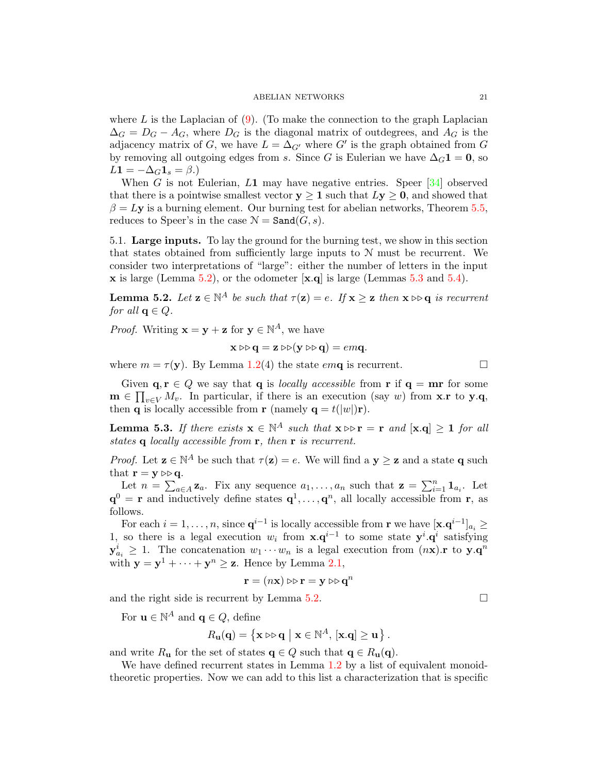where  $L$  is the Laplacian of  $(9)$ . (To make the connection to the graph Laplacian  $\Delta_G = D_G - A_G$ , where  $D_G$  is the diagonal matrix of outdegrees, and  $A_G$  is the adjacency matrix of G, we have  $L = \Delta_{G'}$  where G' is the graph obtained from G by removing all outgoing edges from s. Since G is Eulerian we have  $\Delta_G 1 = 0$ , so  $L1 = -\Delta_G 1_s = \beta.$ 

When G is not Eulerian,  $L1$  may have negative entries. Speer [\[34\]](#page-25-7) observed that there is a pointwise smallest vector  $y \ge 1$  such that  $Ly \ge 0$ , and showed that  $\beta = Ly$  is a burning element. Our burning test for abelian networks, Theorem [5.5,](#page-21-1) reduces to Speer's in the case  $\mathcal{N} = \text{Sand}(G, s)$ .

<span id="page-20-0"></span>5.1. Large inputs. To lay the ground for the burning test, we show in this section that states obtained from sufficiently large inputs to N must be recurrent. We consider two interpretations of "large": either the number of letters in the input  $\bf{x}$  is large (Lemma [5.2\)](#page-20-1), or the odometer  $\bf{x}$ , q is large (Lemmas [5.3](#page-20-2) and [5.4\)](#page-21-2).

<span id="page-20-1"></span>**Lemma 5.2.** Let  $\mathbf{z} \in \mathbb{N}^A$  be such that  $\tau(\mathbf{z}) = e$ . If  $\mathbf{x} \geq \mathbf{z}$  then  $\mathbf{x} \triangleright$  q is recurrent for all  $q \in Q$ .

*Proof.* Writing  $\mathbf{x} = \mathbf{y} + \mathbf{z}$  for  $\mathbf{y} \in \mathbb{N}^A$ , we have

$$
\mathbf{x} \triangleright \triangleright \mathbf{q} = \mathbf{z} \triangleright \triangleright (\mathbf{y} \triangleright \triangleright \mathbf{q}) = em\mathbf{q}.
$$

where  $m = \tau(\mathbf{y})$ . By Lemma [1.2\(](#page-2-1)4) the state emq is recurrent.

Given  $\mathbf{q}, \mathbf{r} \in Q$  we say that  $\mathbf{q}$  is *locally accessible* from  $\mathbf{r}$  if  $\mathbf{q} = \mathbf{m}\mathbf{r}$  for some  $\mathbf{m} \in \prod_{v \in V} M_v$ . In particular, if there is an execution (say w) from **x**.r to **y**.q, then **q** is locally accessible from **r** (namely **q** =  $t(|w|)$ **r**).

<span id="page-20-2"></span>**Lemma 5.3.** If there exists  $\mathbf{x} \in \mathbb{N}^A$  such that  $\mathbf{x} \triangleright$   $\mathbf{r} = \mathbf{r}$  and  $[\mathbf{x} \cdot \mathbf{q}] \geq 1$  for all states **q** locally accessible from **r**, then **r** is recurrent.

*Proof.* Let  $z \in \mathbb{N}^A$  be such that  $\tau(z) = e$ . We will find a  $y \geq z$  and a state q such that  $\mathbf{r} = \mathbf{y} \triangleright \mathbf{q}$ .

Let  $n = \sum_{a \in A} \mathbf{z}_a$ . Fix any sequence  $a_1, \ldots, a_n$  such that  $\mathbf{z} = \sum_{i=1}^n \mathbf{1}_{a_i}$ . Let  $\mathbf{q}^0 = \mathbf{r}$  and inductively define states  $\mathbf{q}^1, \ldots, \mathbf{q}^n$ , all locally accessible from  $\mathbf{r}$ , as follows.

For each  $i = 1, ..., n$ , since  $\mathbf{q}^{i-1}$  is locally accessible from **r** we have  $[\mathbf{x} \cdot \mathbf{q}^{i-1}]_{a_i} \geq$ 1, so there is a legal execution  $w_i$  from  $\mathbf{x}.q^{i-1}$  to some state  $\mathbf{y}^i.\mathbf{q}^i$  satisfying  $y_{a_i}^i \geq 1$ . The concatenation  $w_1 \cdots w_n$  is a legal execution from  $(n\mathbf{x})$ . r to  $\mathbf{y} \cdot \mathbf{q}^n$ with  $y = y^1 + \cdots + y^n \ge z$ . Hence by Lemma [2.1,](#page-6-0)

$$
\mathbf{r} = (n\mathbf{x}) \triangleright \triangleright \mathbf{r} = \mathbf{y} \triangleright \triangleright \mathbf{q}^n
$$

and the right side is recurrent by Lemma [5.2.](#page-20-1)  $\Box$ 

For  $\mathbf{u} \in \mathbb{N}^A$  and  $\mathbf{q} \in Q$ , define

$$
R_{\mathbf{u}}(\mathbf{q}) = \{ \mathbf{x} \triangleright \mathbf{q} \mid \mathbf{x} \in \mathbb{N}^A, [\mathbf{x}. \mathbf{q}] \ge \mathbf{u} \}.
$$

and write  $R_{\mathbf{u}}$  for the set of states  $\mathbf{q} \in Q$  such that  $\mathbf{q} \in R_{\mathbf{u}}(\mathbf{q})$ .

We have defined recurrent states in Lemma [1.2](#page-2-1) by a list of equivalent monoidtheoretic properties. Now we can add to this list a characterization that is specific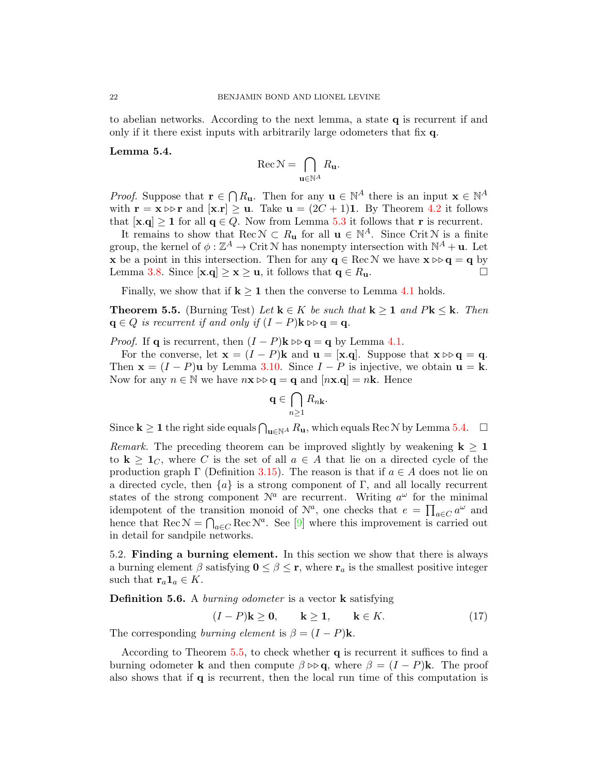to abelian networks. According to the next lemma, a state q is recurrent if and only if it there exist inputs with arbitrarily large odometers that fix q.

## <span id="page-21-2"></span>Lemma 5.4.

$$
\operatorname{Rec} \mathcal{N} = \bigcap_{\mathbf{u} \in \mathbb{N}^A} R_{\mathbf{u}}.
$$

*Proof.* Suppose that  $\mathbf{r} \in \bigcap R_{\mathbf{u}}$ . Then for any  $\mathbf{u} \in \mathbb{N}^A$  there is an input  $\mathbf{x} \in \mathbb{N}^A$ with  $\mathbf{r} = \mathbf{x} \triangleright \mathbf{r}$  and  $[\mathbf{x} \cdot \mathbf{r}] \geq \mathbf{u}$ . Take  $\mathbf{u} = (2C + 1)\mathbf{1}$ . By Theorem [4.2](#page-18-1) it follows that  $[\mathbf{x}.q] \ge 1$  for all  $q \in Q$ . Now from Lemma [5.3](#page-20-2) it follows that **r** is recurrent.

It remains to show that Rec  $\mathcal{N} \subset R_{\mathbf{u}}$  for all  $\mathbf{u} \in \mathbb{N}^A$ . Since Crit  $\mathcal{N}$  is a finite group, the kernel of  $\phi : \mathbb{Z}^A \to \mathrm{Crit} \, \mathbb{N}$  has nonempty intersection with  $\mathbb{N}^A + \mathbf{u}$ . Let **x** be a point in this intersection. Then for any  $q \in \text{Rec} \mathcal{N}$  we have  $x \triangleright q = q$  by Lemma [3.8.](#page-13-2) Since  $[\mathbf{x} \cdot \mathbf{q}] \geq \mathbf{x} \geq \mathbf{u}$ , it follows that  $\mathbf{q} \in R_{\mathbf{u}}$ .

Finally, we show that if  $k \geq 1$  then the converse to Lemma [4.1](#page-18-2) holds.

<span id="page-21-1"></span>**Theorem 5.5.** (Burning Test) Let  $\mathbf{k} \in K$  be such that  $\mathbf{k} \geq 1$  and  $P\mathbf{k} \leq \mathbf{k}$ . Then  $q \in Q$  is recurrent if and only if  $(I - P)$ **k**  $\triangleright \triangleright q = q$ .

*Proof.* If **q** is recurrent, then  $(I - P)$ **k**  $\triangleright \mathbf{q} = \mathbf{q}$  by Lemma [4.1.](#page-18-2)

For the converse, let  $\mathbf{x} = (I - P)\mathbf{k}$  and  $\mathbf{u} = [\mathbf{x} \cdot \mathbf{q}]$ . Suppose that  $\mathbf{x} \triangleright \mathbf{q} = \mathbf{q}$ . Then  $\mathbf{x} = (I - P)\mathbf{u}$  by Lemma [3.10.](#page-13-3) Since  $I - P$  is injective, we obtain  $\mathbf{u} = \mathbf{k}$ . Now for any  $n \in \mathbb{N}$  we have  $n\mathbf{x} \geq \mathbf{q} = \mathbf{q}$  and  $[n\mathbf{x}.\mathbf{q}] = n\mathbf{k}$ . Hence

$$
\mathbf{q}\in \bigcap_{n\geq 1} R_{n\mathbf{k}}.
$$

Since  $k \ge 1$  the right side equals  $\bigcap_{u \in \mathbb{N}^A} R_u$ , which equals Rec N by Lemma [5.4.](#page-21-2)  $\Box$ 

Remark. The preceding theorem can be improved slightly by weakening  $k \geq 1$ to  $k \geq 1_C$ , where C is the set of all  $a \in A$  that lie on a directed cycle of the production graph  $\Gamma$  (Definition [3.15\)](#page-15-1). The reason is that if  $a \in A$  does not lie on a directed cycle, then  $\{a\}$  is a strong component of Γ, and all locally recurrent states of the strong component  $\mathcal{N}^a$  are recurrent. Writing  $a^{\omega}$  for the minimal idempotent of the transition monoid of  $\mathcal{N}^a$ , one checks that  $e = \prod_{a \in C} a^{\omega}$  and hence that Rec  $\mathcal{N} = \bigcap_{a \in C} \text{Rec} \mathcal{N}^a$ . See [\[9\]](#page-24-5) where this improvement is carried out in detail for sandpile networks.

<span id="page-21-0"></span>5.2. Finding a burning element. In this section we show that there is always a burning element  $\beta$  satisfying  $0 \leq \beta \leq r$ , where  $r_a$  is the smallest positive integer such that  $\mathbf{r}_a \mathbf{1}_a \in K$ .

**Definition 5.6.** A *burning odometer* is a vector **k** satisfying

<span id="page-21-3"></span>
$$
(I - P)\mathbf{k} \ge \mathbf{0}, \qquad \mathbf{k} \ge \mathbf{1}, \qquad \mathbf{k} \in K. \tag{17}
$$

The corresponding burning element is  $\beta = (I - P)$ **k**.

According to Theorem [5.5,](#page-21-1) to check whether q is recurrent it suffices to find a burning odometer **k** and then compute  $\beta \triangleright \mathbf{q}$ , where  $\beta = (I - P)\mathbf{k}$ . The proof also shows that if  $q$  is recurrent, then the local run time of this computation is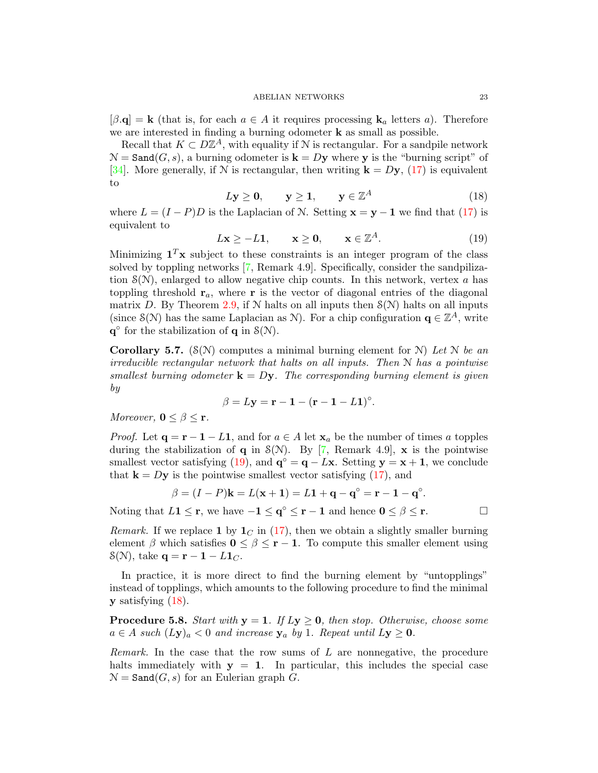$[\beta, \mathbf{q}] = \mathbf{k}$  (that is, for each  $a \in A$  it requires processing  $\mathbf{k}_a$  letters a). Therefore we are interested in finding a burning odometer k as small as possible.

Recall that  $K \subset D\mathbb{Z}^A$ , with equality if N is rectangular. For a sandpile network  $\mathcal{N} = \text{Sand}(G, s)$ , a burning odometer is  $\mathbf{k} = D\mathbf{y}$  where y is the "burning script" of [\[34\]](#page-25-7). More generally, if N is rectangular, then writing  $\mathbf{k} = D\mathbf{y}$ , [\(17\)](#page-21-3) is equivalent to

<span id="page-22-1"></span>
$$
Ly \ge 0, \qquad y \ge 1, \qquad y \in \mathbb{Z}^A \tag{18}
$$

where  $L = (I - P)D$  is the Laplacian of N. Setting  $\mathbf{x} = \mathbf{y} - \mathbf{1}$  we find that [\(17\)](#page-21-3) is equivalent to

<span id="page-22-0"></span>
$$
L\mathbf{x} \ge -L\mathbf{1}, \qquad \mathbf{x} \ge \mathbf{0}, \qquad \mathbf{x} \in \mathbb{Z}^A. \tag{19}
$$

Minimizing  $1^T$ x subject to these constraints is an integer program of the class solved by toppling networks [\[7,](#page-24-3) Remark 4.9]. Specifically, consider the sandpilization  $S(N)$ , enlarged to allow negative chip counts. In this network, vertex a has toppling threshold  $r_a$ , where r is the vector of diagonal entries of the diagonal matrix D. By Theorem [2.9,](#page-10-2) if N halts on all inputs then  $\mathcal{S}(N)$  halts on all inputs (since  $\mathcal{S}(\mathcal{N})$  has the same Laplacian as  $\mathcal{N}$ ). For a chip configuration  $\mathbf{q} \in \mathbb{Z}^A$ , write  $\mathbf{q}^{\circ}$  for the stabilization of  $\mathbf{q}$  in  $\mathcal{S}(\mathcal{N})$ .

<span id="page-22-2"></span>**Corollary 5.7.** ( $\mathcal{S}(\mathcal{N})$  computes a minimal burning element for  $\mathcal{N}$ ) Let N be an irreducible rectangular network that halts on all inputs. Then N has a pointwise smallest burning odometer  $\mathbf{k} = D\mathbf{y}$ . The corresponding burning element is given by

$$
\beta = L\mathbf{y} = \mathbf{r} - \mathbf{1} - (\mathbf{r} - \mathbf{1} - L\mathbf{1})^{\circ}.
$$

Moreover,  $0 \leq \beta \leq r$ .

*Proof.* Let  $\mathbf{q} = \mathbf{r} - \mathbf{1} - L\mathbf{1}$ , and for  $a \in A$  let  $\mathbf{x}_a$  be the number of times a topples during the stabilization of q in  $S(N)$ . By [\[7,](#page-24-3) Remark 4.9], x is the pointwise smallest vector satisfying [\(19\)](#page-22-0), and  $\mathbf{q}^{\circ} = \mathbf{q} - L\mathbf{x}$ . Setting  $\mathbf{y} = \mathbf{x} + \mathbf{1}$ , we conclude that  $\mathbf{k} = D\mathbf{y}$  is the pointwise smallest vector satisfying [\(17\)](#page-21-3), and

$$
\beta = (I - P)\mathbf{k} = L(\mathbf{x} + \mathbf{1}) = L\mathbf{1} + \mathbf{q} - \mathbf{q}^{\circ} = \mathbf{r} - \mathbf{1} - \mathbf{q}^{\circ}.
$$

Noting that  $L1 \leq r$ , we have  $-1 \leq q^{\circ} \leq r-1$  and hence  $0 \leq \beta \leq r$ .

*Remark.* If we replace 1 by  $1<sub>C</sub>$  in [\(17\)](#page-21-3), then we obtain a slightly smaller burning element  $\beta$  which satisfies  $0 \leq \beta \leq r - 1$ . To compute this smaller element using  $\mathcal{S}(\mathcal{N})$ , take  $\mathbf{q} = \mathbf{r} - \mathbf{1} - L \mathbf{1}_C$ .

In practice, it is more direct to find the burning element by "untopplings" instead of topplings, which amounts to the following procedure to find the minimal  $y$  satisfying  $(18)$ .

<span id="page-22-3"></span>**Procedure 5.8.** Start with  $y = 1$ . If  $Ly \ge 0$ , then stop. Otherwise, choose some  $a \in A$  such  $(Ly)_a < 0$  and increase  $y_a$  by 1. Repeat until  $Ly \ge 0$ .

Remark. In the case that the row sums of L are nonnegative, the procedure halts immediately with  $y = 1$ . In particular, this includes the special case  $\mathcal{N} = \text{Sand}(G, s)$  for an Eulerian graph G.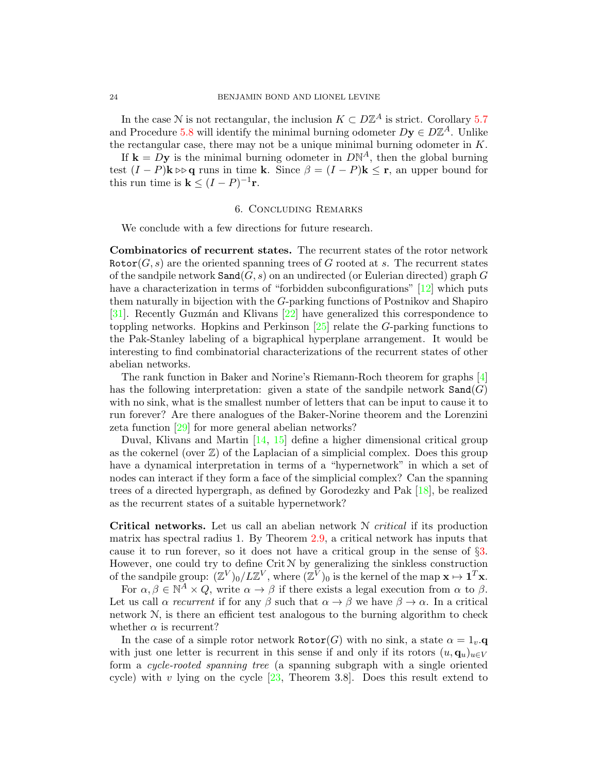In the case N is not rectangular, the inclusion  $K \subset D\mathbb{Z}^A$  is strict. Corollary [5.7](#page-22-2) and Procedure [5.8](#page-22-3) will identify the minimal burning odometer  $Dy \in D\mathbb{Z}^A$ . Unlike the rectangular case, there may not be a unique minimal burning odometer in K.

If  $\mathbf{k} = D\mathbf{y}$  is the minimal burning odometer in  $D\mathbb{N}^{A}$ , then the global burning test  $(I - P)$ **k**  $\triangleright$  **q** runs in time **k**. Since  $\beta = (I - P)$ **k**  $\leq$  **r**, an upper bound for this run time is  $\mathbf{k} \leq (I - P)^{-1} \mathbf{r}$ .

## 6. Concluding Remarks

We conclude with a few directions for future research.

Combinatorics of recurrent states. The recurrent states of the rotor network  $Rotor(G, s)$  are the oriented spanning trees of G rooted at s. The recurrent states of the sandpile network  $\texttt{Sand}(G, s)$  on an undirected (or Eulerian directed) graph G have a characterization in terms of "forbidden subconfigurations" [\[12\]](#page-25-2) which puts them naturally in bijection with the G-parking functions of Postnikov and Shapiro [\[31\]](#page-25-14). Recently Guzmán and Klivans [\[22\]](#page-25-15) have generalized this correspondence to toppling networks. Hopkins and Perkinson [\[25\]](#page-25-20) relate the G-parking functions to the Pak-Stanley labeling of a bigraphical hyperplane arrangement. It would be interesting to find combinatorial characterizations of the recurrent states of other abelian networks.

The rank function in Baker and Norine's Riemann-Roch theorem for graphs [\[4\]](#page-24-9) has the following interpretation: given a state of the sandpile network  $\texttt{Sand}(G)$ with no sink, what is the smallest number of letters that can be input to cause it to run forever? Are there analogues of the Baker-Norine theorem and the Lorenzini zeta function [\[29\]](#page-25-21) for more general abelian networks?

Duval, Klivans and Martin [\[14,](#page-25-22) [15\]](#page-25-23) define a higher dimensional critical group as the cokernel (over  $\mathbb{Z}$ ) of the Laplacian of a simplicial complex. Does this group have a dynamical interpretation in terms of a "hypernetwork" in which a set of nodes can interact if they form a face of the simplicial complex? Can the spanning trees of a directed hypergraph, as defined by Gorodezky and Pak [\[18\]](#page-25-24), be realized as the recurrent states of a suitable hypernetwork?

**Critical networks.** Let us call an abelian network  $N$  *critical* if its production matrix has spectral radius 1. By Theorem [2.9,](#page-10-2) a critical network has inputs that cause it to run forever, so it does not have a critical group in the sense of §[3.](#page-10-1) However, one could try to define  $\operatorname{Crit} \mathcal{N}$  by generalizing the sinkless construction of the sandpile group:  $(\mathbb{Z}^V)_0/L\mathbb{Z}^V$ , where  $(\mathbb{Z}^{\bar{V}})_0$  is the kernel of the map  $\mathbf{x} \mapsto \mathbf{1}^T\mathbf{x}$ .

For  $\alpha, \beta \in \mathbb{N}^A \times Q$ , write  $\alpha \to \beta$  if there exists a legal execution from  $\alpha$  to  $\beta$ . Let us call  $\alpha$  recurrent if for any  $\beta$  such that  $\alpha \to \beta$  we have  $\beta \to \alpha$ . In a critical network N, is there an efficient test analogous to the burning algorithm to check whether  $\alpha$  is recurrent?

In the case of a simple rotor network  $\text{Rotor}(G)$  with no sink, a state  $\alpha = 1_v.\mathbf{q}$ with just one letter is recurrent in this sense if and only if its rotors  $(u, \mathbf{q}_u)_{u \in V}$ form a cycle-rooted spanning tree (a spanning subgraph with a single oriented cycle) with v lying on the cycle  $[23,$  Theorem 3.8. Does this result extend to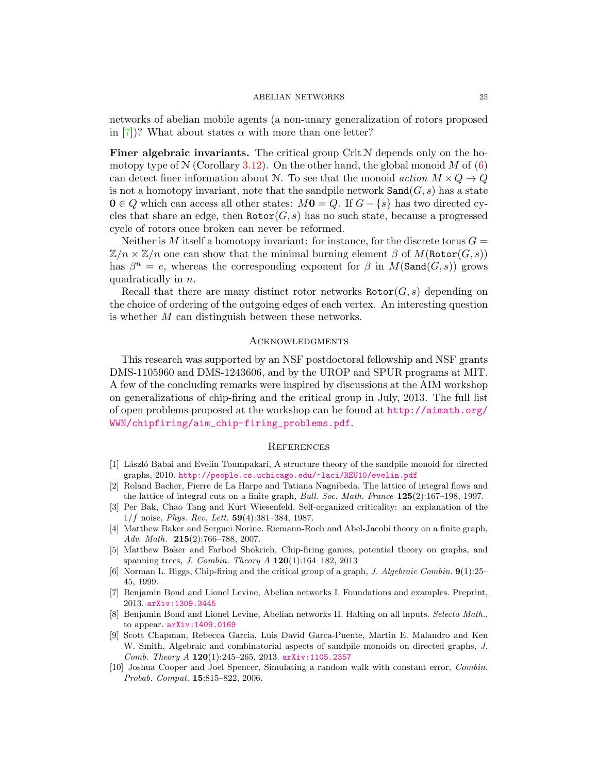networks of abelian mobile agents (a non-unary generalization of rotors proposed in [\[7\]](#page-24-3))? What about states  $\alpha$  with more than one letter?

Finer algebraic invariants. The critical group Crit N depends only on the homotopy type of  $N$  (Corollary [3.12\)](#page-14-0). On the other hand, the global monoid M of [\(6\)](#page-7-2) can detect finer information about N. To see that the monoid action  $M \times Q \rightarrow Q$ is not a homotopy invariant, note that the sandpile network  $\texttt{Sand}(G, s)$  has a state  $0 \in Q$  which can access all other states:  $M\mathbf{0} = Q$ . If  $G - \{s\}$  has two directed cycles that share an edge, then  $Rotor(G, s)$  has no such state, because a progressed cycle of rotors once broken can never be reformed.

Neither is M itself a homotopy invariant: for instance, for the discrete torus  $G =$  $\mathbb{Z}/n \times \mathbb{Z}/n$  one can show that the minimal burning element  $\beta$  of  $M(\text{Rotor}(G, s))$ has  $\beta^n = e$ , whereas the corresponding exponent for  $\beta$  in  $M(\text{Sand}(G, s))$  grows quadratically in n.

Recall that there are many distinct rotor networks  $\text{Rotor}(G, s)$  depending on the choice of ordering of the outgoing edges of each vertex. An interesting question is whether M can distinguish between these networks.

## **ACKNOWLEDGMENTS**

This research was supported by an NSF postdoctoral fellowship and NSF grants DMS-1105960 and DMS-1243606, and by the UROP and SPUR programs at MIT. A few of the concluding remarks were inspired by discussions at the AIM workshop on generalizations of chip-firing and the critical group in July, 2013. The full list of open problems proposed at the workshop can be found at [http://aimath.org/](http://aimath.org/WWN/chipfiring/aim_chip-firing_problems.pdf) [WWN/chipfiring/aim\\_chip-firing\\_problems.pdf](http://aimath.org/WWN/chipfiring/aim_chip-firing_problems.pdf).

## **REFERENCES**

- <span id="page-24-4"></span>[1] László Babai and Evelin Toumpakari, A structure theory of the sandpile monoid for directed graphs, 2010. <http://people.cs.uchicago.edu/~laci/REU10/evelin.pdf>
- <span id="page-24-0"></span>[2] Roland Bacher, Pierre de La Harpe and Tatiana Nagnibeda, The lattice of integral flows and the lattice of integral cuts on a finite graph, Bull. Soc. Math. France 125(2):167–198, 1997.
- <span id="page-24-2"></span>[3] Per Bak, Chao Tang and Kurt Wiesenfeld, Self-organized criticality: an explanation of the  $1/f$  noise, *Phys. Rev. Lett.*  $59(4):381-384$ , 1987.
- <span id="page-24-9"></span>[4] Matthew Baker and Serguei Norine. Riemann-Roch and Abel-Jacobi theory on a finite graph, Adv. Math. **215**(2):766-788, 2007.
- <span id="page-24-8"></span>[5] Matthew Baker and Farbod Shokrieh, Chip-firing games, potential theory on graphs, and spanning trees, *J. Combin. Theory A*  $120(1):164-182$ , 2013
- <span id="page-24-1"></span>[6] Norman L. Biggs, Chip-firing and the critical group of a graph, J. Algebraic Combin. 9(1):25– 45, 1999.
- <span id="page-24-3"></span>[7] Benjamin Bond and Lionel Levine, Abelian networks I. Foundations and examples. Preprint, 2013. [arXiv:1309.3445](http://arxiv.org/abs/1309.3445)
- <span id="page-24-6"></span>[8] Benjamin Bond and Lionel Levine, Abelian networks II. Halting on all inputs. Selecta Math., to appear. [arXiv:1409.0169](http://arxiv.org/abs/1409.0169)
- <span id="page-24-5"></span>[9] Scott Chapman, Rebecca Garcia, Luis David Garca-Puente, Martin E. Malandro and Ken W. Smith, Algebraic and combinatorial aspects of sandpile monoids on directed graphs, J. Comb. Theory A 120(1):245–265, 2013. [arXiv:1105.2357](http://arxiv.org/abs/1105.2357)
- <span id="page-24-7"></span>[10] Joshua Cooper and Joel Spencer, Simulating a random walk with constant error, Combin. Probab. Comput. 15:815–822, 2006.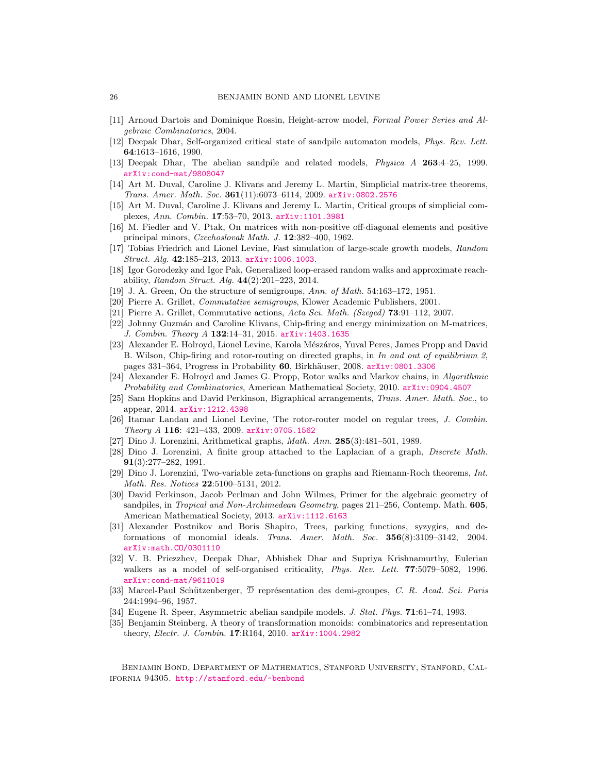- <span id="page-25-5"></span>[11] Arnoud Dartois and Dominique Rossin, Height-arrow model, Formal Power Series and Algebraic Combinatorics, 2004.
- <span id="page-25-2"></span>[12] Deepak Dhar, Self-organized critical state of sandpile automaton models, Phys. Rev. Lett. 64:1613–1616, 1990.
- <span id="page-25-3"></span>[13] Deepak Dhar, The abelian sandpile and related models, Physica A 263:4–25, 1999. [arXiv:cond-mat/9808047](http://arxiv.org/abs/cond-mat/9808047)
- <span id="page-25-22"></span>[14] Art M. Duval, Caroline J. Klivans and Jeremy L. Martin, Simplicial matrix-tree theorems,  $Trans.$  Amer. Math. Soc.  $361(11):6073-6114$ , 2009.  $arXiv:0802.2576$
- <span id="page-25-23"></span>[15] Art M. Duval, Caroline J. Klivans and Jeremy L. Martin, Critical groups of simplicial complexes, Ann. Combin. 17:53–70, 2013. [arXiv:1101.3981](http://arxiv.org/abs/1101.3981)
- <span id="page-25-13"></span>[16] M. Fiedler and V. Ptak, On matrices with non-positive off-diagonal elements and positive principal minors, Czechoslovak Math. J. 12:382–400, 1962.
- <span id="page-25-18"></span>[17] Tobias Friedrich and Lionel Levine, Fast simulation of large-scale growth models, Random Struct. Alg. 42:185–213, 2013. [arXiv:1006.1003](http://arxiv.org/abs/1006.1003).
- <span id="page-25-24"></span>[18] Igor Gorodezky and Igor Pak, Generalized loop-erased random walks and approximate reachability, Random Struct. Alq.  $44(2):201-223$ , 2014.
- <span id="page-25-8"></span>[19] J. A. Green, On the structure of semigroups, Ann. of Math. 54:163–172, 1951.
- <span id="page-25-10"></span>[20] Pierre A. Grillet, Commutative semigroups, Klower Academic Publishers, 2001.
- <span id="page-25-12"></span>[21] Pierre A. Grillet, Commutative actions, Acta Sci. Math. (Szeged) 73:91–112, 2007.
- <span id="page-25-15"></span>[22] Johnny Guzmán and Caroline Klivans, Chip-firing and energy minimization on M-matrices, J. Combin. Theory A 132:14-31, 2015. [arXiv:1403.1635](http://arxiv.org/abs/1403.1635)
- <span id="page-25-16"></span>[23] Alexander E. Holroyd, Lionel Levine, Karola Mészáros, Yuval Peres, James Propp and David B. Wilson, Chip-firing and rotor-routing on directed graphs, in In and out of equilibrium 2, pages 331–364, Progress in Probability 60, Birkhäuser, 2008. [arXiv:0801.3306](http://arxiv.org/abs/0801.3306)
- <span id="page-25-17"></span>[24] Alexander E. Holroyd and James G. Propp, Rotor walks and Markov chains, in Algorithmic Probability and Combinatorics, American Mathematical Society, 2010. [arXiv:0904.4507](http://arxiv.org/abs/0904.4507)
- <span id="page-25-20"></span>[25] Sam Hopkins and David Perkinson, Bigraphical arrangements, Trans. Amer. Math. Soc., to appear, 2014. [arXiv:1212.4398](http://arxiv.org/abs/1212.4398)
- <span id="page-25-6"></span>[26] Itamar Landau and Lionel Levine, The rotor-router model on regular trees, J. Combin. Theory A 116:  $421-433$ ,  $2009$ .  $arXiv:0705.1562$
- <span id="page-25-0"></span>[27] Dino J. Lorenzini, Arithmetical graphs, Math. Ann. 285(3):481–501, 1989.
- <span id="page-25-1"></span>[28] Dino J. Lorenzini, A finite group attached to the Laplacian of a graph, Discrete Math. 91(3):277–282, 1991.
- <span id="page-25-21"></span>[29] Dino J. Lorenzini, Two-variable zeta-functions on graphs and Riemann-Roch theorems, Int. Math. Res. Notices 22:5100–5131, 2012.
- <span id="page-25-19"></span>[30] David Perkinson, Jacob Perlman and John Wilmes, Primer for the algebraic geometry of sandpiles, in *Tropical and Non-Archimedean Geometry*, pages 211–256, Contemp. Math. **605**, American Mathematical Society, 2013. [arXiv:1112.6163](http://arxiv.org/abs/1112.6163)
- <span id="page-25-14"></span>[31] Alexander Postnikov and Boris Shapiro, Trees, parking functions, syzygies, and deformations of monomial ideals. Trans. Amer. Math. Soc. 356(8):3109–3142, 2004. [arXiv:math.CO/0301110](http://arxiv.org/abs/math.CO/0301110)
- <span id="page-25-4"></span>[32] V. B. Priezzhev, Deepak Dhar, Abhishek Dhar and Supriya Krishnamurthy, Eulerian walkers as a model of self-organised criticality, *Phys. Rev. Lett.* **77**:5079-5082, 1996. [arXiv:cond-mat/9611019](http://arxiv.org/abs/cond-mat/9611019)
- <span id="page-25-9"></span>[33] Marcel-Paul Schützenberger,  $\overline{\mathcal{D}}$  représentation des demi-groupes, C. R. Acad. Sci. Paris 244:1994–96, 1957.
- <span id="page-25-7"></span>[34] Eugene R. Speer, Asymmetric abelian sandpile models. J. Stat. Phys. 71:61–74, 1993.
- <span id="page-25-11"></span>[35] Benjamin Steinberg, A theory of transformation monoids: combinatorics and representation theory, Electr. J. Combin. 17:R164, 2010. [arXiv:1004.2982](http://arxiv.org/abs/1004.2982)

Benjamin Bond, Department of Mathematics, Stanford University, Stanford, California 94305. <http://stanford.edu/~benbond>